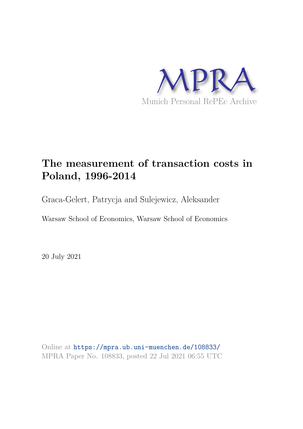

# **The measurement of transaction costs in Poland, 1996-2014**

Graca-Gelert, Patrycja and Sulejewicz, Aleksander

Warsaw School of Economics, Warsaw School of Economics

20 July 2021

Online at https://mpra.ub.uni-muenchen.de/108833/ MPRA Paper No. 108833, posted 22 Jul 2021 06:55 UTC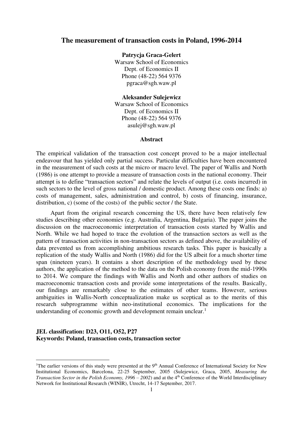#### **The measurement of transaction costs in Poland, 1996-2014**

**Patrycja Graca-Gelert** 

Warsaw School of Economics Dept. of Economics II Phone (48-22) 564 9376 pgraca@sgh.waw.pl

#### **Aleksander Sulejewicz**

Warsaw School of Economics Dept. of Economics II Phone (48-22) 564 9376 asulej@sgh.waw.pl

#### **Abstract**

The empirical validation of the transaction cost concept proved to be a major intellectual endeavour that has yielded only partial success. Particular difficulties have been encountered in the measurement of such costs at the micro or macro level. The paper of Wallis and North (1986) is one attempt to provide a measure of transaction costs in the national economy. Their attempt is to define "transaction sectors" and relate the levels of output (i.e. costs incurred) in such sectors to the level of gross national / domestic product. Among these costs one finds: a) costs of management, sales, administration and control, b) costs of financing, insurance, distribution, c) (some of the costs) of the public sector / the State.

Apart from the original research concerning the US, there have been relatively few studies describing other economies (e.g. Australia, Argentina, Bulgaria). The paper joins the discussion on the macroeconomic interpretation of transaction costs started by Wallis and North. While we had hoped to trace the evolution of the transaction sectors as well as the pattern of transaction activities in non-transaction sectors as defined above, the availability of data prevented us from accomplishing ambitious research tasks. This paper is basically a replication of the study Wallis and North (1986) did for the US albeit for a much shorter time span (nineteen years). It contains a short description of the methodology used by these authors, the application of the method to the data on the Polish economy from the mid-1990s to 2014. We compare the findings with Wallis and North and other authors of studies on macroeconomic transaction costs and provide some interpretations of the results. Basically, our findings are remarkably close to the estimates of other teams. However, serious ambiguities in Wallis-North conceptualization make us sceptical as to the merits of this research subprogramme within neo-institutional economics. The implications for the understanding of economic growth and development remain unclear.<sup>1</sup>

#### **JEL classification: D23, O11, O52, P27 Keywords: Poland, transaction costs, transaction sector**

<sup>&</sup>lt;sup>1</sup>The earlier versions of this study were presented at the 9<sup>th</sup> Annual Conference of International Society for New Institutional Economics, Barcelona, 22-25 September, 2005 (Sulejewicz, Graca, 2005, *Measuring the Transaction Sector in the Polish Economy, 1996 – 2002)* and at the 4<sup>th</sup> Conference of the World Interdisciplinary Network for Institutional Research (WINIR), Utrecht, 14-17 September, 2017.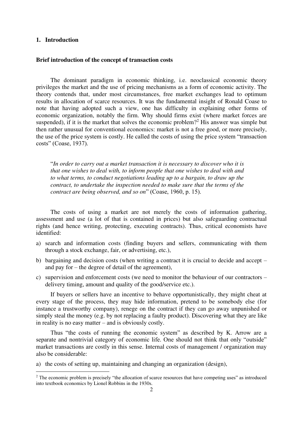#### **1. Introduction**

#### **Brief introduction of the concept of transaction costs**

The dominant paradigm in economic thinking, i.e. neoclassical economic theory privileges the market and the use of pricing mechanisms as a form of economic activity. The theory contends that, under most circumstances, free market exchanges lead to optimum results in allocation of scarce resources. It was the fundamental insight of Ronald Coase to note that having adopted such a view, one has difficulty in explaining other forms of economic organization, notably the firm. Why should firms exist (where market forces are suspended), if it is the market that solves the economic problem?<sup>2</sup> His answer was simple but then rather unusual for conventional economics: market is not a free good, or more precisely, the use of the price system is costly. He called the costs of using the price system "transaction costs" (Coase, 1937).

"*In order to carry out a market transaction it is necessary to discover who it is that one wishes to deal with, to inform people that one wishes to deal with and to what terms, to conduct negotiations leading up to a bargain, to draw up the contract, to undertake the inspection needed to make sure that the terms of the contract are being observed, and so on*" (Coase, 1960, p. 15).

The costs of using a market are not merely the costs of information gathering, assessment and use (a lot of that is contained in prices) but also safeguarding contractual rights (and hence writing, protecting, executing contracts). Thus, critical economists have identified:

- a) search and information costs (finding buyers and sellers, communicating with them through a stock exchange, fair, or advertising, etc.),
- b) bargaining and decision costs (when writing a contract it is crucial to decide and accept and pay for – the degree of detail of the agreement),
- c) supervision and enforcement costs (we need to monitor the behaviour of our contractors delivery timing, amount and quality of the good/service etc.).

If buyers or sellers have an incentive to behave opportunistically, they might cheat at every stage of the process, they may hide information, pretend to be somebody else (for instance a trustworthy company), renege on the contract if they can go away unpunished or simply steal the money (e.g. by not replacing a faulty product). Discovering what they are like in reality is no easy matter – and is obviously costly.

Thus "the costs of running the economic system" as described by K. Arrow are a separate and nontrivial category of economic life. One should not think that only "outside" market transactions are costly in this sense. Internal costs of management / organization may also be considerable:

a) the costs of setting up, maintaining and changing an organization (design),

<sup>&</sup>lt;sup>2</sup> The economic problem is precisely "the allocation of scarce resources that have competing uses" as introduced into textbook economics by Lionel Robbins in the 1930s.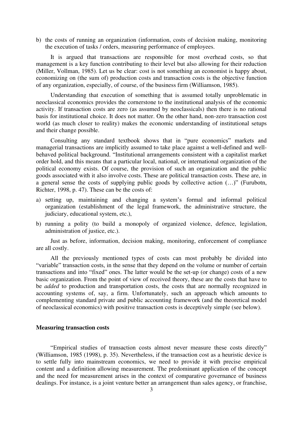b) the costs of running an organization (information, costs of decision making, monitoring the execution of tasks / orders, measuring performance of employees.

It is argued that transactions are responsible for most overhead costs, so that management is a key function contributing to their level but also allowing for their reduction (Miller, Vollman, 1985). Let us be clear: cost is not something an economist is happy about, economizing on (the sum of) production costs and transaction costs is the objective function of any organization, especially, of course, of the business firm (Williamson, 1985).

Understanding that execution of something that is assumed totally unproblematic in neoclassical economics provides the cornerstone to the institutional analysis of the economic activity. If transaction costs are zero (as assumed by neoclassicals) then there is no rational basis for institutional choice. It does not matter. On the other hand, non-zero transaction cost world (as much closer to reality) makes the economic understanding of institutional setups and their change possible.

Consulting any standard textbook shows that in "pure economics" markets and managerial transactions are implicitly assumed to take place against a well-defined and wellbehaved political background. "Institutional arrangements consistent with a capitalist market order hold, and this means that a particular local, national, or international organization of the political economy exists. Of course, the provision of such an organization and the public goods associated with it also involve costs. These are political transaction costs. These are, in a general sense the costs of supplying public goods by collective action (…)" (Furubotn, Richter, 1998, p. 47). These can be the costs of:

- a) setting up, maintaining and changing a system's formal and informal political organization (establishment of the legal framework, the administrative structure, the judiciary, educational system, etc.),
- b) running a polity (to build a monopoly of organized violence, defence, legislation, administration of justice, etc.).

Just as before, information, decision making, monitoring, enforcement of compliance are all costly.

All the previously mentioned types of costs can most probably be divided into "variable" transaction costs, in the sense that they depend on the volume or number of certain transactions and into "fixed" ones. The latter would be the set-up (or change) costs of a new basic organization. From the point of view of received theory, these are the costs that have to be *added* to production and transportation costs, the costs that are normally recognized in accounting systems of, say, a firm. Unfortunately, such an approach which amounts to complementing standard private and public accounting framework (and the theoretical model of neoclassical economics) with positive transaction costs is deceptively simple (see below).

#### **Measuring transaction costs**

"Empirical studies of transaction costs almost never measure these costs directly" (Williamson, 1985 (1998), p. 35). Nevertheless, if the transaction cost as a heuristic device is to settle fully into mainstream economics, we need to provide it with precise empirical content and a definition allowing measurement. The predominant application of the concept and the need for measurement arises in the context of comparative governance of business dealings. For instance, is a joint venture better an arrangement than sales agency, or franchise,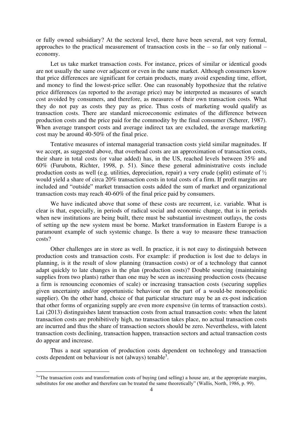or fully owned subsidiary? At the sectoral level, there have been several, not very formal, approaches to the practical measurement of transaction costs in the  $-$  so far only national  $$ economy.

Let us take market transaction costs. For instance, prices of similar or identical goods are not usually the same over adjacent or even in the same market. Although consumers know that price differences are significant for certain products, many avoid expending time, effort, and money to find the lowest-price seller. One can reasonably hypothesize that the relative price differences (as reported to the average price) may be interpreted as measures of search cost avoided by consumers, and therefore, as measures of their own transaction costs. What they do not pay as costs they pay as price. Thus costs of marketing would qualify as transaction costs. There are standard microeconomic estimates of the difference between production costs and the price paid for the commodity by the final consumer (Scherer, 1987). When average transport costs and average indirect tax are excluded, the average marketing cost may be around 40-50% of the final price.

Tentative measures of internal managerial transaction costs yield similar magnitudes. If we accept, as suggested above, that overhead costs are an approximation of transaction costs, their share in total costs (or value added) has, in the US, reached levels between 35% and 60% (Furubotn, Richter, 1998, p. 51). Since these general administrative costs include production costs as well (e.g. utilities, depreciation, repair) a very crude (split) estimate of  $\frac{1}{2}$ would yield a share of circa 20% transaction costs in total costs of a firm. If profit margins are included and "outside" market transaction costs added the sum of market and organizational transaction costs may reach 40-60% of the final price paid by consumers.

We have indicated above that some of these costs are recurrent, i.e. variable. What is clear is that, especially, in periods of radical social and economic change, that is in periods when new institutions are being built, there must be substantial investment outlays, the costs of setting up the new system must be borne. Market transformation in Eastern Europe is a paramount example of such systemic change. Is there a way to measure these transaction costs?

Other challenges are in store as well. In practice, it is not easy to distinguish between production costs and transaction costs. For example: if production is lost due to delays in planning, is it the result of slow planning (transaction costs) or of a technology that cannot adapt quickly to late changes in the plan (production costs)? Double sourcing (maintaining supplies from two plants) rather than one may be seen as increasing production costs (because a firm is renouncing economies of scale) or increasing transaction costs (securing supplies given uncertainty and/or opportunistic behaviour on the part of a would-be monopolistic supplier). On the other hand, choice of that particular structure may be an ex-post indication that other forms of organizing supply are even more expensive (in terms of transaction costs). Lai (2013) distinguishes latent transaction costs from actual transaction costs: when the latent transaction costs are prohibitively high, no transaction takes place, no actual transaction costs are incurred and thus the share of transaction sectors should be zero. Nevertheless, with latent transaction costs declining, transaction happen, transaction sectors and actual transaction costs do appear and increase.

Thus a neat separation of production costs dependent on technology and transaction costs dependent on behaviour is not (always) tenable<sup>3</sup>.

<sup>&</sup>lt;sup>3</sup><sup>"</sup>The transaction costs and transformation costs of buying (and selling) a house are, at the appropriate margins, substitutes for one another and therefore can be treated the same theoretically" (Wallis, North, 1986, p. 99).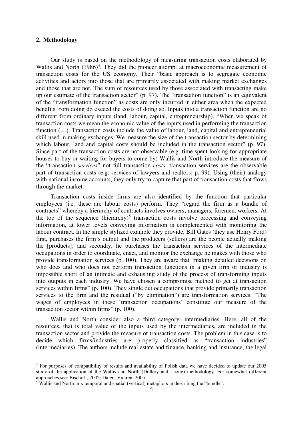#### **2. Methodology**

Our study is based on the methodology of measuring transaction costs elaborated by Wallis and North  $(1986)^4$ . They did the pioneer attempt at macroeconomic measurement of transaction costs for the US economy. Their "basic approach is to segregate economic activities and actors into those that are primarily associated with making market exchanges and those that are not. The sum of resources used by those associated with transacting make up our estimate of the transaction sector" (p. 97). The "transaction function" is an equivalent of the "transformation function" as costs are only incurred in either area when the expected benefits from doing do exceed the costs of doing so. Inputs into a transaction function are no different from ordinary inputs (land, labour, capital, entrepreneurship). "When we speak of transaction costs we mean the economic value of the inputs used in performing the transaction function  $(...)$ . Transaction costs include the value of labour, land, capital and entrepreneurial skill used in making exchanges. We measure the size of the transaction sector by determining which labour, land and capital costs should be included in the transaction sector" (p. 97). Since part of the transaction costs are not observable (e.g. time spent looking for appropriate houses to buy or waiting for buyers to come by) Wallis and North introduce the measure of the "transaction *services*" not full transaction *costs*: transaction services are the observable part of transaction costs (e.g. services of lawyers and realtors; p. 99). Using (their) analogy with national income accounts, they only try to capture that part of transaction costs that flows through the market.

Transaction costs inside firms are also identified by the function that particular employees (i.e. these are labour costs) perform. They "regard the firm as a bundle of contracts" whereby a hierarchy of contracts involves owners, managers, foremen, workers. At the top of the sequence (hierarchy)<sup>5</sup> transaction costs involve processing and conveying information, at lower levels conveying information is complemented with monitoring the labour contract. In the simple stylized example they provide, Bill Gates (they use Henry Ford) first, purchases the firm's output and the producers (sellers) are the people actually making the [products]; and secondly, he purchases the transaction services of the intermediate occupations in order to coordinate, enact, and monitor the exchange he makes with those who provide transformation services (p. 100). They are aware that "making detailed decisions on who does and who does not perform transaction functions in a given firm or industry is impossible short of an intimate and exhausting study of the process of transforming inputs into outputs in each industry. We have chosen a compromise method to get at transaction services within firms" (p. 100). They single out occupations that provide primarily transaction services to the firm and the residual ("by elimination") are transformation services. "The wages of employees in these 'transaction occupations' constitute our measure of the transaction sector within firms" (p. 100).

Wallis and North consider also a third category: intermediaries. Here, all of the resources, that is total value of the inputs used by the intermediaries, are included in the transaction sector and provide the measure of transaction costs. The problem in this case is to decide which firms/industries are properly classified as "transaction industries" (intermediaries). The authors include real estate and finance, banking and insurance, the legal

<sup>&</sup>lt;sup>4</sup> For purposes of compatibility of results and availability of Polish data we have decided to update our 2005 study of the application of the Wallis and North (Dollery and Leong) methodology. For somewhat different approaches see: Bischoff, 2002; Dalen, Vuuren, 2005.

<sup>5</sup> Wallis and North mix temporal and spatial (vertical) metaphors in describing the "bundle".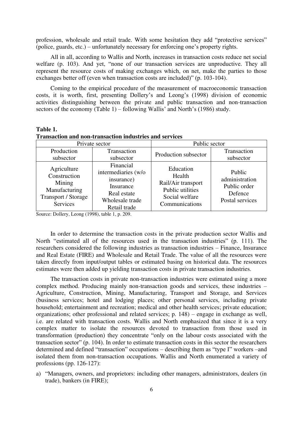profession, wholesale and retail trade. With some hesitation they add "protective services" (police, guards, etc.) – unfortunately necessary for enforcing one's property rights.

All in all, according to Wallis and North, increases in transaction costs reduce net social welfare (p. 103). And yet, "none of our transaction services are unproductive. They all represent the resource costs of making exchanges which, on net, make the parties to those exchanges better off (even when transaction costs are included)" (p. 103-104).

Coming to the empirical procedure of the measurement of macroeconomic transaction costs, it is worth, first, presenting Dollery's and Leong's (1998) division of economic activities distinguishing between the private and public transaction and non-transaction sectors of the economy (Table 1) – following Wallis' and North's (1986) study.

|                                                                                                  | Private sector                                                                                                | Public sector                                                                                     |                                                                        |  |  |  |  |
|--------------------------------------------------------------------------------------------------|---------------------------------------------------------------------------------------------------------------|---------------------------------------------------------------------------------------------------|------------------------------------------------------------------------|--|--|--|--|
| Production<br>subsector                                                                          | Transaction<br>subsector                                                                                      | Production subsector                                                                              | Transaction<br>subsector                                               |  |  |  |  |
| Agriculture<br>Construction<br>Mining<br>Manufacturing<br>Transport / Storage<br><b>Services</b> | Financial<br>intermediaries (w/o<br>insurance)<br>Insurance<br>Real estate<br>Wholesale trade<br>Retail trade | Education<br>Health<br>Rail/Air transport<br>Public utilities<br>Social welfare<br>Communications | Public<br>administration<br>Public order<br>Defence<br>Postal services |  |  |  |  |

**Table 1. Transaction and non-transaction industries and services** 

Source: Dollery, Leong (1998), table 1, p. 209.

In order to determine the transaction costs in the private production sector Wallis and North "estimated all of the resources used in the transaction industries" (p. 111). The researchers considered the following industries as transaction industries – Finance, Insurance and Real Estate (FIRE) and Wholesale and Retail Trade. The value of all the resources were taken directly from input/output tables or estimated basing on historical data. The resources estimates were then added up yielding transaction costs in private transaction industries.

The transaction costs in private non-transaction industries were estimated using a more complex method. Producing mainly non-transaction goods and services, these industries – Agriculture, Construction, Mining, Manufacturing, Transport and Storage, and Services (business services; hotel and lodging places; other personal services, including private household; entertainment and recreation; medical and other health services; private education; organizations; other professional and related services; p. 148) – engage in exchange as well, i.e. are related with transaction costs. Wallis and North emphasized that since it is a very complex matter to isolate the resources devoted to transaction from those used in transformation (production) they concentrate "only on the labour costs associated with the transaction sector" (p. 104). In order to estimate transaction costs in this sector the researchers determined and defined "transaction" occupations – describing them as "type I" workers –and isolated them from non-transaction occupations. Wallis and North enumerated a variety of professions (pp. 126-127):

a) "Managers, owners, and proprietors: including other managers, administrators, dealers (in trade), bankers (in FIRE);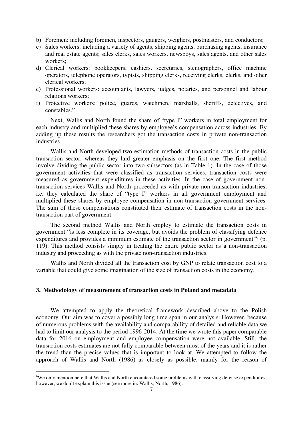- b) Foremen: including foremen, inspectors, gaugers, weighers, postmasters, and conductors;
- c) Sales workers: including a variety of agents, shipping agents, purchasing agents, insurance and real estate agents; sales clerks, sales workers, newsboys, sales agents, and other sales workers;
- d) Clerical workers: bookkeepers, cashiers, secretaries, stenographers, office machine operators, telephone operators, typists, shipping clerks, receiving clerks, clerks, and other clerical workers;
- e) Professional workers: accountants, lawyers, judges, notaries, and personnel and labour relations workers;
- f) Protective workers: police, guards, watchmen, marshalls, sheriffs, detectives, and constables."

Next, Wallis and North found the share of "type I" workers in total employment for each industry and multiplied these shares by employee's compensation across industries. By adding up these results the researchers got the transaction costs in private non-transaction industries.

Wallis and North developed two estimation methods of transaction costs in the public transaction sector, whereas they laid greater emphasis on the first one. The first method involve dividing the public sector into two subsectors (as in Table 1). In the case of those government activities that were classified as transaction services, transaction costs were measured as government expenditures in these activities. In the case of government nontransaction services Wallis and North proceeded as with private non-transaction industries, i.e. they calculated the share of "type I" workers in all government employment and multiplied these shares by employee compensation in non-transaction government services. The sum of these compensations constituted their estimate of transaction costs in the nontransaction part of government.

The second method Wallis and North employ to estimate the transaction costs in government "is less complete in its coverage, but avoids the problem of classifying defence expenditures and provides a minimum estimate of the transaction sector in government"<sup>6</sup> (p. 119). This method consists simply in treating the entire public sector as a non-transaction industry and proceeding as with the private non-transaction industries.

Wallis and North divided all the transaction cost by GNP to relate transaction cost to a variable that could give some imagination of the size of transaction costs in the economy.

#### **3. Methodology of measurement of transaction costs in Poland and metadata**

We attempted to apply the theoretical framework described above to the Polish economy. Our aim was to cover a possibly long time span in our analysis. However, because of numerous problems with the availability and comparability of detailed and reliable data we had to limit our analysis to the period 1996-2014. At the time we wrote this paper comparable data for 2016 on employment and employee compensation were not available. Still, the transaction costs estimates are not fully comparable between most of the years and it is rather the trend than the precise values that is important to look at. We attempted to follow the approach of Wallis and North (1986) as closely as possible, mainly for the reason of

<sup>&</sup>lt;sup>6</sup>We only mention here that Wallis and North encountered some problems with classifying defense expenditures, however, we don't explain this issue (see more in: Wallis, North, 1986).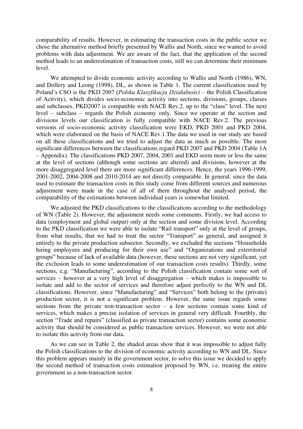comparability of results. However, in estimating the transaction costs in the public sector we chose the alternative method briefly presented by Wallis and North, since we wanted to avoid problems with data adjustment. We are aware of the fact, that the application of the second method leads to an underestimation of transaction costs, still we can determine their minimum level.

We attempted to divide economic activity according to Wallis and North (1986), WN, and Dollery and Leong (1998), DL, as shown in Table 1. The current classification used by Poland's CSO is the PKD 2007 (*Polska Klasyfikacja Działalności* – the Polish Classification of Activity), which divides socio-economic activity into sections, divisions, groups, classes and subclasses. PKD2007 is compatible with NACE Rev.2. up to the "class" level. The next level – subclass – regards the Polish economy only. Since we operate at the section and divisions levels our classification is fully compatible with NACE Rev.2. The previous versions of socio-economic activity classification were EKD, PKD 2001 and PKD 2004, which were elaborated on the basis of NACE Rev.1. The data we used in our study are based on all these classifications and we tried to adjust the data as much as possible. The most significant differences between the classifications regard PKD 2007 and PKD 2004 (Table 1A – Appendix). The classifications PKD 2007, 2004, 2001 and EKD seem more or less the same at the level of sections (although some sections are altered) and divisions, however at the more disaggregated level there are more significant differences. Hence, the years 1996-1999, 2001-2002, 2004-2008 and 2010-2014 are not directly comparable. In general, since the data used to estimate the transaction costs in this study come from different sources and numerous adjustment were made in the case of all of them throughout the analysed period, the comparability of the estimations between individual years is somewhat limited.

We adjusted the PKD classifications to the classifications according to the methodology of WN (Table 2). However, the adjustment needs some comments. Firstly, we had access to data (employment and global output) only at the section and some division level. According to the PKD classification we were able to isolate "Rail transport" only at the level of groups, from what results, that we had to treat the sector "Transport" as general, and assigned it entirely to the private production subsector. Secondly, we excluded the sections "Households hiring employees and producing for their own use" and "Organizations and exterritorial groups" because of lack of available data (however, these sections are not very significant, yet the exclusion leads to some underestimation of our transaction costs results). Thirdly, some sections, e.g. "Manufacturing", according to the Polish classification contain some sort of services – however at a very high level of disaggregation – which makes is impossible to isolate and add to the sector of services and therefore adjust perfectly to the WN and DL classifications. However, since "Manufacturing" and "Services" both belong to the (private) production sector, it is not a significant problem. However, the same issue regards some sections from the private non-transaction sector – a few sections contain some kind of services, which makes a precise isolation of services in general very difficult. Fourthly, the section "Trade and repairs" (classified as private transaction sector) contains some economic activity that should be considered as public transaction services. However, we were not able to isolate this activity from our data.

As we can see in Table 2, the shaded areas show that it was impossible to adjust fully the Polish classifications to the division of economic activity according to WN and DL. Since this problem appears mainly in the government sector, to solve this issue we decided to apply the second method of transaction costs estimation proposed by WN, i.e. treating the entire government as a non-transaction sector.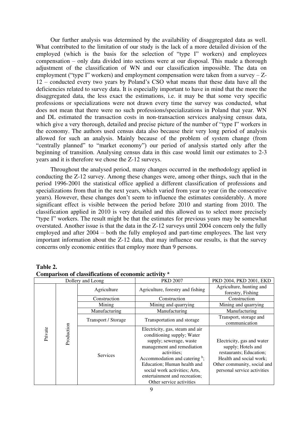Our further analysis was determined by the availability of disaggregated data as well. What contributed to the limitation of our study is the lack of a more detailed division of the employed (which is the basis for the selection of "type I" workers) and employees compensation – only data divided into sections were at our disposal. This made a thorough adjustment of the classification of WN and our classification impossible. The data on employment ("type I" workers) and employment compensation were taken from a survey  $-Z$ -12 – conducted every two years by Poland's CSO what means that these data have all the deficiencies related to survey data. It is especially important to have in mind that the more the disaggregated data, the less exact the estimations, i.e. it may be that some very specific professions or specializations were not drawn every time the survey was conducted, what does not mean that there were no such professions/specializations in Poland that year. WN and DL estimated the transaction costs in non-transaction services analysing census data, which give a very thorough, detailed and precise picture of the number of "type I" workers in the economy. The authors used census data also because their very long period of analysis allowed for such an analysis. Mainly because of the problem of system change (from "centrally planned" to "market economy") our period of analysis started only after the beginning of transition. Analysing census data in this case would limit our estimates to 2-3 years and it is therefore we chose the Z-12 surveys.

Throughout the analysed period, many changes occurred in the methodology applied in conducting the Z-12 survey. Among these changes were, among other things, such that in the period 1996-2001 the statistical office applied a different classification of professions and specializations from that in the next years, which varied from year to year (in the consecutive years). However, these changes don't seem to influence the estimates considerably. A more significant effect is visible between the period before 2010 and starting from 2010. The classification applied in 2010 is very detailed and this allowed us to select more precisely "type I" workers. The result might be that the estimates for previous years may be somewhat overstated. Another issue is that the data in the Z-12 surveys until 2004 concern only the fully employed and after 2004 – both the fully employed and part-time employees. The last very important information about the Z-12 data, that may influence our results, is that the survey concerns only economic entities that employ more than 9 persons.

|         |            | Comparison or chassineations or economic actritic |                                                                                                                                                                                                                                                                                                     |                                                                                                                                                                      |
|---------|------------|---------------------------------------------------|-----------------------------------------------------------------------------------------------------------------------------------------------------------------------------------------------------------------------------------------------------------------------------------------------------|----------------------------------------------------------------------------------------------------------------------------------------------------------------------|
|         |            | Dollery and Leong                                 | <b>PKD 2007</b>                                                                                                                                                                                                                                                                                     | PKD 2004, PKD 2001, EKD                                                                                                                                              |
|         |            | Agriculture                                       | Agriculture, forestry and fishing                                                                                                                                                                                                                                                                   | Agriculture, hunting and<br>forestry, Fishing                                                                                                                        |
|         |            | Construction                                      | Construction                                                                                                                                                                                                                                                                                        | Construction                                                                                                                                                         |
|         |            | Mining                                            | Mining and quarrying                                                                                                                                                                                                                                                                                | Mining and quarrying                                                                                                                                                 |
|         |            | Manufacturing                                     | Manufacturing                                                                                                                                                                                                                                                                                       | Manufacturing                                                                                                                                                        |
|         |            | Transport / Storage                               | Transportation and storage                                                                                                                                                                                                                                                                          | Transport, storage and<br>communication                                                                                                                              |
| Private | Production | <b>Services</b>                                   | Electricity, gas, steam and air<br>conditioning supply; Water<br>supply; sewerage, waste<br>management and remediation<br>activities:<br>Accommodation and catering b;<br>Education; Human health and<br>social work activities; Arts,<br>entertainment and recreation;<br>Other service activities | Electricity, gas and water<br>supply; Hotels and<br>restaurants; Education;<br>Health and social work;<br>Other community, social and<br>personal service activities |

#### **Table 2. Comparison of classifications of economic activity <sup>a</sup>**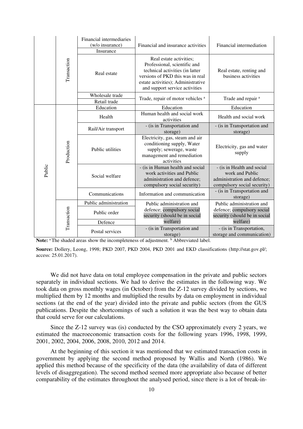|        |             | Financial intermediaries<br>(w/o insurance)<br>Insurance | Financial and insurance activities                                                                                                                                                                     | Financial intermediation                                                                                    |  |  |  |
|--------|-------------|----------------------------------------------------------|--------------------------------------------------------------------------------------------------------------------------------------------------------------------------------------------------------|-------------------------------------------------------------------------------------------------------------|--|--|--|
|        | Transaction | Real estate                                              | Real estate activities;<br>Professional, scientific and<br>technical activities (in latter<br>versions of PKD this was in real<br>estate activities); Administrative<br>and support service activities | Real estate, renting and<br>business activities                                                             |  |  |  |
|        |             | Wholesale trade<br>Retail trade                          | Trade, repair of motor vehicles <sup>a</sup>                                                                                                                                                           | Trade and repair <sup>a</sup>                                                                               |  |  |  |
|        |             | Education                                                | Education                                                                                                                                                                                              | Education                                                                                                   |  |  |  |
|        |             | Health                                                   | Human health and social work<br>activities                                                                                                                                                             | Health and social work                                                                                      |  |  |  |
|        |             | Rail/Air transport                                       | - (is in Transportation and<br>storage)                                                                                                                                                                | - (is in Transportation and<br>storage)                                                                     |  |  |  |
|        | Production  | Public utilities                                         | Electricity, gas, steam and air<br>conditioning supply, Water<br>supply; sewerage, waste<br>management and remediation<br>activities                                                                   | Electricity, gas and water<br>supply                                                                        |  |  |  |
| Public |             | Social welfare                                           | - (is in Human health and social<br>work activities and Public<br>administration and defence;<br>compulsory social security)                                                                           | - (is in Health and social<br>work and Public<br>administration and defence;<br>compulsory social security) |  |  |  |
|        |             | Communications                                           | Information and communication                                                                                                                                                                          | - (is in Transportation and<br>storage)                                                                     |  |  |  |
|        |             | Public administration                                    | Public administration and                                                                                                                                                                              | Public administration and                                                                                   |  |  |  |
|        | Transaction | Public order                                             | defence; compulsory social<br>security (should be in social                                                                                                                                            | defence; compulsory social<br>security (should be in social                                                 |  |  |  |
|        |             | Defence                                                  | welfare)                                                                                                                                                                                               | welfare)                                                                                                    |  |  |  |
|        |             | Postal services                                          | - (is in Transportation and<br>storage)                                                                                                                                                                | - (is in Transportation,<br>storage and communication)                                                      |  |  |  |

Note: <sup>a</sup> The shaded areas show the incompleteness of adjustment. <sup>b</sup> Abbreviated label.

**Source:** Dollery, Leong, 1998; PKD 2007, PKD 2004, PKD 2001 and EKD classifications [\(http://stat.gov.pl/;](http://stat.gov.pl/) access: 25.01.2017).

We did not have data on total employee compensation in the private and public sectors separately in individual sections. We had to derive the estimates in the following way. We took data on gross monthly wages (in October) from the Z-12 survey divided by sections, we multiplied them by 12 months and multiplied the results by data on employment in individual sections (at the end of the year) divided into the private and public sectors (from the GUS publications. Despite the shortcomings of such a solution it was the best way to obtain data that could serve for our calculations.

Since the Z-12 survey was (is) conducted by the CSO approximately every 2 years, we estimated the macroeconomic transaction costs for the following years 1996, 1998, 1999, 2001, 2002, 2004, 2006, 2008, 2010, 2012 and 2014.

At the beginning of this section it was mentioned that we estimated transaction costs in government by applying the second method proposed by Wallis and North (1986). We applied this method because of the specificity of the data (the availability of data of different levels of disaggregation). The second method seemed more appropriate also because of better comparability of the estimates throughout the analysed period, since there is a lot of break-in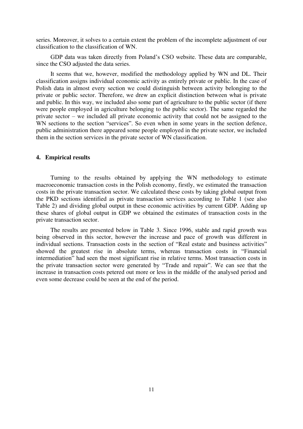series. Moreover, it solves to a certain extent the problem of the incomplete adjustment of our classification to the classification of WN.

GDP data was taken directly from Poland's CSO website. These data are comparable, since the CSO adjusted the data series.

It seems that we, however, modified the methodology applied by WN and DL. Their classification assigns individual economic activity as entirely private or public. In the case of Polish data in almost every section we could distinguish between activity belonging to the private or public sector. Therefore, we drew an explicit distinction between what is private and public. In this way, we included also some part of agriculture to the public sector (if there were people employed in agriculture belonging to the public sector). The same regarded the private sector – we included all private economic activity that could not be assigned to the WN sections to the section "services". So even when in some years in the section defence, public administration there appeared some people employed in the private sector, we included them in the section services in the private sector of WN classification.

#### **4. Empirical results**

Turning to the results obtained by applying the WN methodology to estimate macroeconomic transaction costs in the Polish economy, firstly, we estimated the transaction costs in the private transaction sector. We calculated these costs by taking global output from the PKD sections identified as private transaction services according to Table 1 (see also Table 2) and dividing global output in these economic activities by current GDP. Adding up these shares of global output in GDP we obtained the estimates of transaction costs in the private transaction sector.

The results are presented below in Table 3. Since 1996, stable and rapid growth was being observed in this sector, however the increase and pace of growth was different in individual sections. Transaction costs in the section of "Real estate and business activities" showed the greatest rise in absolute terms, whereas transaction costs in "Financial intermediation" had seen the most significant rise in relative terms. Most transaction costs in the private transaction sector were generated by "Trade and repair". We can see that the increase in transaction costs petered out more or less in the middle of the analysed period and even some decrease could be seen at the end of the period.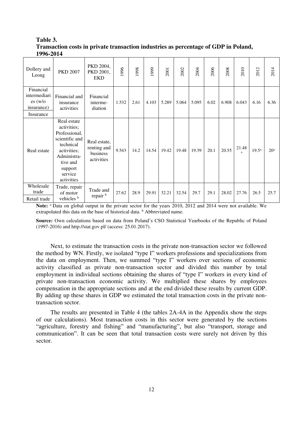#### **Table 3. Transaction costs in private transaction industries as percentage of GDP in Poland, 1996-2014**

| 1770 EVIT                                                       |                                                                                                                                                          |                                                       |       |      |       |       |       |       |      |       |            |                |                 |
|-----------------------------------------------------------------|----------------------------------------------------------------------------------------------------------------------------------------------------------|-------------------------------------------------------|-------|------|-------|-------|-------|-------|------|-------|------------|----------------|-----------------|
| Dollery and<br>Leong                                            | <b>PKD 2007</b>                                                                                                                                          | PKD 2004,<br>PKD 2001,<br><b>EKD</b>                  | 1996  | 1998 | 999   | 2001  | 2002  | 2004  | 2006 | 2008  | 2010       | 2012           | 2014            |
| Financial<br>intermediari<br>es(w/o)<br>insurance)<br>Insurance | Financial and<br>insurance<br>activities                                                                                                                 | Financial<br>interme-<br>diation                      | 1.532 | 2.61 | 4.103 | 5.289 | 5.064 | 5.095 | 6.02 | 6.908 | 6.043      | 6.16           | 6.36            |
| Real estate                                                     | Real estate<br>activities;<br>Professional,<br>scientific and<br>technical<br>activities;<br>Administra-<br>tive and<br>support<br>service<br>activities | Real estate,<br>renting and<br>business<br>activities | 9.543 | 14.2 | 14.54 | 19.42 | 19.48 | 19.39 | 20.1 | 20.55 | 21.48<br>a | $19.5^{\rm a}$ | 20 <sup>a</sup> |
| Wholesale<br>trade<br>Retail trade                              | Trade, repair<br>of motor<br>vehicles <sup>b</sup>                                                                                                       | Trade and<br>repair <sup>b</sup>                      | 27.62 | 28.9 | 29.91 | 32.21 | 32.54 | 29.7  | 29.1 | 28.02 | 27.76      | 26.5           | 25.7            |

**Note:** <sup>a</sup> Data on global output in the private sector for the years 2010, 2012 and 2014 were not available. We extrapolated this data on the base of historical data. <sup>b</sup> Abbreviated name.

**Source:** Own calculations based on data from Poland's CSO Statistical Yearbooks of the Republic of Poland (1997-2016) and<http://stat.gov.pl/>(access: 25.01.2017).

Next, to estimate the transaction costs in the private non-transaction sector we followed the method by WN. Firstly, we isolated "type I" workers professions and specializations from the data on employment. Then, we summed "type I" workers over sections of economic activity classified as private non-transaction sector and divided this number by total employment in individual sections obtaining the shares of "type I" workers in every kind of private non-transaction economic activity. We multiplied these shares by employees compensation in the appropriate sections and at the end divided these results by current GDP. By adding up these shares in GDP we estimated the total transaction costs in the private nontransaction sector.

The results are presented in Table 4 (the tables 2A-4A in the Appendix show the steps of our calculations). Most transaction costs in this sector were generated by the sections "agriculture, forestry and fishing" and "manufacturing", but also "transport, storage and communication". It can be seen that total transaction costs were surely not driven by this sector.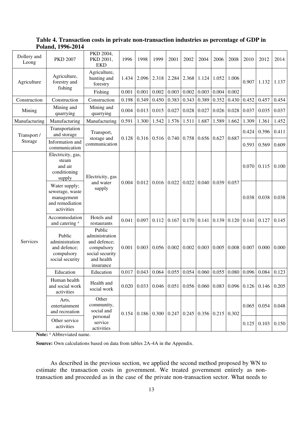| Dollery and<br>Leong | <b>PKD 2007</b>                                                                 | PKD 2004,<br>PKD 2001,<br><b>EKD</b>                                                                 | 1996  | 1998               | 1999                    | 2001  | 2002                                          | 2004  | 2006  | 2008  | 2010                | 2012  | 2014  |
|----------------------|---------------------------------------------------------------------------------|------------------------------------------------------------------------------------------------------|-------|--------------------|-------------------------|-------|-----------------------------------------------|-------|-------|-------|---------------------|-------|-------|
| Agriculture          | Agriculture,<br>forestry and<br>fishing                                         | Agriculture,<br>hunting and<br>forestry                                                              | 1.434 | 2.096              | 2.318                   |       | $2.284$ 2.368                                 | 1.124 | 1.052 | 1.006 | 0.907               | 1.132 | 1.137 |
|                      |                                                                                 | Fishing                                                                                              | 0.001 | 0.001              | 0.002                   | 0.003 | 0.002                                         | 0.003 | 0.004 | 0.002 |                     |       |       |
| Construction         | Construction                                                                    | Construction                                                                                         | 0.198 | 0.349              | 0.450                   | 0.383 | 0.343                                         | 0.389 | 0.352 | 0.430 | 0.452               | 0.457 | 0.454 |
| Mining               | Mining and<br>quarrying                                                         | Mining and<br>quarrying                                                                              | 0.004 | 0.013              | 0.015                   | 0.027 | 0.028                                         | 0.027 | 0.026 | 0.028 | 0.037               | 0.035 | 0.037 |
| Manufacturing        | Manufacturing                                                                   | Manufacturing                                                                                        | 0.591 | 1.300              | 1.542                   | 1.576 | 1.511                                         | 1.687 | 1.589 | 1.662 | 1.309               | 1.361 | 1.452 |
| Transport /          | Transportation<br>and storage                                                   | Transport,<br>storage and                                                                            | 0.128 | 0.316              | 0.516                   |       | $0.740$ 0.758 0.656                           |       | 0.627 | 0.687 | 0.424               | 0.396 | 0.411 |
| Storage              | Information and<br>communication                                                | communication                                                                                        |       |                    |                         |       |                                               |       |       |       | 0.593               | 0.569 | 0.609 |
|                      | Electricity, gas,<br>steam<br>and air<br>conditioning<br>supply                 | Electricity, gas                                                                                     |       | 0.012              |                         |       |                                               |       |       |       | 0.070               | 0.115 | 0.100 |
|                      | Water supply;<br>sewerage, waste<br>management<br>and remediation<br>activities | and water<br>supply                                                                                  | 0.004 |                    | 0.016                   | 0.022 | 0.022                                         | 0.040 | 0.039 | 0.057 | 0.038               | 0.038 | 0.038 |
|                      | Accommodation<br>and catering a                                                 | Hotels and<br>restaurants                                                                            | 0.041 | 0.097              | 0.112                   |       | $0.167$ 0.170 0.141                           |       | 0.139 | 0.120 | 0.141               | 0.127 | 0.145 |
| Services             | Public<br>administration<br>and defence;<br>compulsory<br>social security       | Public<br>administration<br>and defence;<br>compulsory<br>social security<br>and health<br>insurance | 0.001 | 0.003              | 0.056                   |       | $0.002$ 0.002 0.003                           |       | 0.005 | 0.008 | 0.007               | 0.000 | 0.000 |
|                      | Education                                                                       | Education                                                                                            | 0.017 | 0.043              | 0.064                   | 0.055 | $0.054 \,   \, 0.060$                         |       | 0.055 | 0.080 | 0.096               | 0.084 | 0.123 |
|                      | Human health<br>and social work<br>activities                                   | Health and<br>social work                                                                            |       | $0.020 \mid 0.033$ | 0.046                   |       | $0.051 \mid 0.056 \mid 0.060 \mid 0.083 \mid$ |       |       |       | $0.096$ 0.126 0.146 |       | 0.205 |
|                      | Arts,<br>entertainment<br>and recreation                                        | Other<br>community,<br>social and                                                                    | 0.154 |                    | $0.186 \mid 0.300 \mid$ |       | $0.247$ 0.245 0.356 0.215                     |       |       | 0.302 | 0.065               | 0.054 | 0.048 |
|                      | Other service<br>activities                                                     | personal<br>service<br>activities                                                                    |       |                    |                         |       |                                               |       |       |       | 0.125               | 0.103 | 0.150 |

# **Table 4. Transaction costs in private non-transaction industries as percentage of GDP in Poland, 1996-2014**

Note: <sup>a</sup> Abbreviated name.

**Source:** Own calculations based on data from tables 2A-4A in the Appendix.

As described in the previous section, we applied the second method proposed by WN to estimate the transaction costs in government. We treated government entirely as nontransaction and proceeded as in the case of the private non-transaction sector. What needs to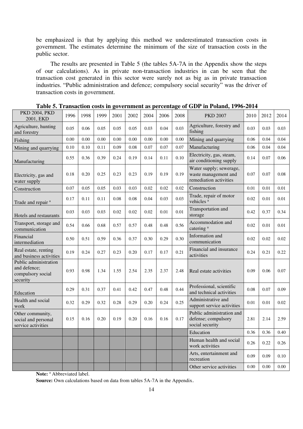be emphasized is that by applying this method we underestimated transaction costs in government. The estimates determine the minimum of the size of transaction costs in the public sector.

The results are presented in Table 5 (the tables 5A-7A in the Appendix show the steps of our calculations). As in private non-transaction industries in can be seen that the transaction cost generated in this sector were surely not as big as in private transaction industries. "Public administration and defence; compulsory social security" was the driver of transaction costs in government.

| <b>PKD 2004, PKD</b><br>2001, EKD                                      | 1996 | 1998 | 1999 | 2001 | 2002 | 2004 | 2006 | 2008 | <b>PKD 2007</b>                                                           | 2010 | 2012 | 2014 |
|------------------------------------------------------------------------|------|------|------|------|------|------|------|------|---------------------------------------------------------------------------|------|------|------|
| Agriculture, hunting<br>and forestry                                   | 0.05 | 0.06 | 0.05 | 0.05 | 0.05 | 0.03 | 0.04 | 0.03 | Agriculture, forestry and<br>fishing                                      | 0.03 | 0.03 | 0.03 |
| Fishing                                                                | 0.00 | 0.00 | 0.00 | 0.00 | 0.00 | 0.00 | 0.00 | 0.00 | Mining and quarrying                                                      | 0.06 | 0.04 | 0.04 |
| Mining and quarrying                                                   | 0.10 | 0.10 | 0.11 | 0.09 | 0.08 | 0.07 | 0.07 | 0.07 | Manufacturing                                                             | 0.06 | 0.04 | 0.04 |
| Manufacturing                                                          | 0.55 | 0.36 | 0.39 | 0.24 | 0.19 | 0.14 | 0.11 | 0.10 | Electricity, gas, steam,<br>air conditioning supply                       | 0.14 | 0.07 | 0.06 |
| Electricity, gas and<br>water supply                                   | 0.18 | 0.20 | 0.25 | 0.23 | 0.23 | 0.19 | 0.19 | 0.19 | Water supply; sewerage,<br>waste management and<br>remediation activities | 0.07 | 0.07 | 0.08 |
| Construction                                                           | 0.07 | 0.05 | 0.05 | 0.03 | 0.03 | 0.02 | 0.02 | 0.02 | Construction                                                              | 0.01 | 0.01 | 0.01 |
| Trade and repair <sup>a</sup>                                          | 0.17 | 0.11 | 0.11 | 0.08 | 0.08 | 0.04 | 0.03 | 0.03 | Trade, repair of motor<br>vehicles <sup>a</sup>                           | 0.02 | 0.01 | 0.01 |
| Hotels and restaurants                                                 | 0.03 | 0.03 | 0.03 | 0.02 | 0.02 | 0.02 | 0.01 | 0.01 | Transportation and<br>storage                                             | 0.42 | 0.37 | 0.34 |
| Transport, storage and<br>communication                                | 0.54 | 0.66 | 0.68 | 0.57 | 0.57 | 0.48 | 0.48 | 0.56 | Accommodation and<br>catering <sup>a</sup>                                | 0.02 | 0.01 | 0.01 |
| Financial<br>intermediation                                            | 0.50 | 0.51 | 0.59 | 0.36 | 0.37 | 0.30 | 0.29 | 0.30 | Information and<br>communication                                          | 0.02 | 0.02 | 0.02 |
| Real estate, renting<br>and business activities                        | 0.19 | 0.24 | 0.27 | 0.23 | 0.20 | 0.17 | 0.17 | 0.21 | Financial and insurance<br>activities                                     | 0.24 | 0.21 | 0.22 |
| Public administration<br>and defence;<br>compulsory social<br>security | 0.93 | 0.98 | 1.34 | 1.55 | 2.54 | 2.35 | 2.37 | 2.48 | Real estate activities                                                    | 0.09 | 0.06 | 0.07 |
| Education                                                              | 0.29 | 0.31 | 0.37 | 0.41 | 0.42 | 0.47 | 0.48 | 0.44 | Professional, scientific<br>and technical activities                      | 0.08 | 0.07 | 0.09 |
| Health and social<br>work                                              | 0.32 | 0.29 | 0.32 | 0.28 | 0.29 | 0.20 | 0.24 | 0.25 | Administrative and<br>support service activities                          | 0.01 | 0.01 | 0.02 |
| Other community,<br>social and personal<br>service activities          | 0.15 | 0.16 | 0.20 | 0.19 | 0.20 | 0.16 | 0.16 | 0.17 | Public administration and<br>defense; compulsory<br>social security       | 2.81 | 2.14 | 2.59 |
|                                                                        |      |      |      |      |      |      |      |      | Education                                                                 | 0.36 | 0.36 | 0.40 |
|                                                                        |      |      |      |      |      |      |      |      | Human health and social<br>work activities                                | 0.26 | 0.22 | 0.26 |
|                                                                        |      |      |      |      |      |      |      |      | Arts, entertainment and<br>recreation                                     | 0.09 | 0.09 | 0.10 |
|                                                                        |      |      |      |      |      |      |      |      | Other service activities                                                  | 0.00 | 0.00 | 0.00 |

**Table 5. Transaction costs in government as percentage of GDP in Poland, 1996-2014** 

Note: <sup>a</sup> Abbreviated label.

**Source:** Own calculations based on data from tables 5A-7A in the Appendix.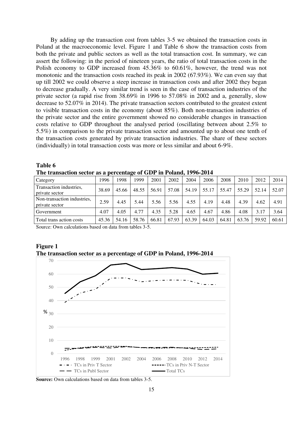By adding up the transaction cost from tables 3-5 we obtained the transaction costs in Poland at the macroeconomic level. Figure 1 and Table 6 show the transaction costs from both the private and public sectors as well as the total transaction cost. In summary, we can assert the following: in the period of nineteen years, the ratio of total transaction costs in the Polish economy to GDP increased from 45.36% to 60.61%, however, the trend was not monotonic and the transaction costs reached its peak in 2002 (67.93%). We can even say that up till 2002 we could observe a steep increase in transaction costs and after 2002 they began to decrease gradually. A very similar trend is seen in the case of transaction industries of the private sector (a rapid rise from 38.69% in 1996 to 57.08% in 2002 and a, generally, slow decrease to 52.07% in 2014). The private transaction sectors contributed to the greatest extent to visible transaction costs in the economy (about 85%). Both non-transaction industries of the private sector and the entire government showed no considerable changes in transaction costs relative to GDP throughout the analysed period (oscillating between about 2.5% to 5.5%) in comparison to the private transaction sector and amounted up to about one tenth of the transaction costs generated by private transaction industries. The share of these sectors (individually) in total transaction costs was more or less similar and about 6-9%.

| THE Hansaction Sector as a percentage of GDT In Toland, 1990-2014 |       |       |       |       |       |       |       |       |       |       |       |
|-------------------------------------------------------------------|-------|-------|-------|-------|-------|-------|-------|-------|-------|-------|-------|
| Category                                                          | 1996  | 1998  | 1999  | 2001  | 2002  | 2004  | 2006  | 2008  | 2010  | 2012  | 2014  |
| Transaction industries,<br>private sector                         | 38.69 | 45.66 | 48.55 | 56.91 | 57.08 | 54.19 | 55.17 | 55.47 | 55.29 | 52.14 | 52.07 |
| Non-transaction industries,<br>private sector                     | 2.59  | 4.45  | 5.44  | 5.56  | 5.56  | 4.55  | 4.19  | 4.48  | 4.39  | 4.62  | 4.91  |
| Government                                                        | 4.07  | 4.05  | 4.77  | 4.35  | 5.28  | 4.65  | 4.67  | 4.86  | 4.08  | 3.17  | 3.64  |
| Total trans action costs                                          | 45.36 | 54.16 | 58.76 | 66.81 | 67.93 | 63.39 | 64.03 | 64.81 | 63.76 | 59.92 | 60.61 |
| $\sim$<br>.<br>$\sim$ $\sim$                                      |       | .     |       |       |       |       |       |       |       |       |       |

| The transaction sector as a percentage of GDP in Poland, 1996-2014 |
|--------------------------------------------------------------------|
|--------------------------------------------------------------------|

Source: Own calculations based on data from tables 3-5.

#### **Figure 1**

**Table 6** 





**Source:** Own calculations based on data from tables 3-5.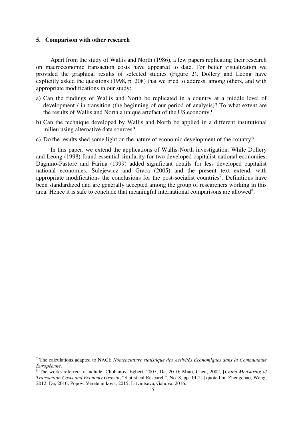#### **5. Comparison with other research**

Apart from the study of Wallis and North (1986), a few papers replicating their research on macroeconomic transaction costs have appeared to date. For better visualization we provided the graphical results of selected studies (Figure 2). Dollery and Leong have explicitly asked the questions (1998, p. 208) that we tried to address, among others, and with appropriate modifications in our study:

- a) Can the findings of Wallis and North be replicated in a country at a middle level of development / in transition (the beginning of our period of analysis)? To what extent are the results of Wallis and North a unique artefact of the US economy?
- b) Can the technique developed by Wallis and North be applied in a different institutional milieu using alternative data sources?
- c) Do the results shed some light on the nature of economic development of the country?

In this paper, we extend the applications of Wallis-North investigation. While Dollery and Leong (1998) found essential similarity for two developed capitalist national economies, Dagnino-Pastore and Farina (1999) added significant details for less developed capitalist national economies, Sulejewicz and Graca (2005) and the present text extend, with appropriate modifications the conclusions for the post-socialist countries<sup>7</sup>. Definitions have been standardized and are generally accepted among the group of researchers working in this area. Hence it is safe to conclude that meaningful international comparisons are allowed<sup>8</sup>.

<sup>7</sup> The calculations adapted to NACE *Nomenclature statistique des Activités Economiques dans la Communauté Européenne*.

<sup>8</sup> The works referred to include: Chobanov, Egbert, 2007; Da, 2010; Miao, Chen, 2002, [*China Measuring of Transaction Costs and Economy Growth*, "Statistical Research", No. 8, pp. 14-21] quoted in: Zhengchao, Wang, 2012; Da, 2010; Popov, Veretennikova, 2015; Litvintseva, Gahova, 2016.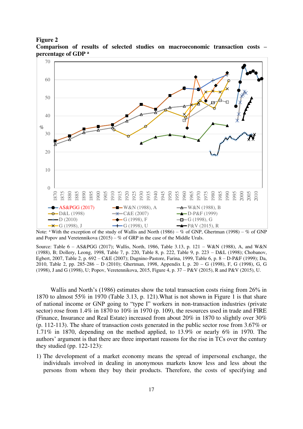$\theta$ 10 20 30 40 50 60 70 1870 1875 1880 1885 1890 89<sup>-</sup> 1900 1905 1910 1915 1920 1925 1930 1935 1940 1945 1950 1955 1960 1965 1970 1975 1980 1985 1990 1995 200C 2005 2010  $-$ **AS&PGG** (2017)  $-$  W&N (1988), A  $-$  W&N (1988), B  $\rightarrow$  D-D&L (1998)  $\rightarrow$  C&E (2007)  $\rightarrow$  D-P&F (1999)  $-D(2010)$   $\longrightarrow$  G(1998), F  $\longrightarrow$  G(1998), G  $\rightarrow$  G (1998), J  $\rightarrow$  G (1998), U  $\rightarrow$  P&V (2015), R  $\mathcal{O}_0$ 

**Figure 2 Comparison of results of selected studies on macroeconomic transaction costs – percentage of GDP <sup>a</sup>**

Note: <sup>a</sup> With the exception of the study of Wallis and North (1986) – % of GNP, Ghertman (1998) – % of GNP and Popov and Veretennikova (2015) –  $%$  of GRP in the case of the Middle Urals.

Source: Table 6 – AS&PGG (2017); Wallis, North, 1986, Table 3.13, p. 121 – W&N (1988), A, and W&N (1988), B; Dollery, Leong, 1998, Table 7, p. 220, Table 8, p. 222, Table 9, p. 223 – D&L (1998); Chobanov, Egbert, 2007, Table 2, p. 692 – C&E (2007); Dagnino-Pastore, Farina, 1999, Table 6, p. 8 – D-P&F (1999); Da, 2010, Table 2, pp. 285-286 – D (2010); Ghertman, 1998, Appendix I, p. 20 – G (1998), F, G (1998), G, G (1998), J and G (1998), U; Popov, Veretennikova, 2015, Figure 4, p. 37 – P&V (2015), R and P&V (2015), U.

Wallis and North's (1986) estimates show the total transaction costs rising from 26% in 1870 to almost 55% in 1970 (Table 3.13, p. 121).What is not shown in Figure 1 is that share of national income or GNP going to "type I" workers in non-transaction industries (private sector) rose from 1.4% in 1870 to 10% in 1970 (p. 109), the resources used in trade and FIRE (Finance, Insurance and Real Estate) increased from about 20% in 1870 to slightly over 30% (p. 112-113). The share of transaction costs generated in the public sector rose from 3.67% or 1.71% in 1870, depending on the method applied, to 13.9% or nearly 6% in 1970. The authors' argument is that there are three important reasons for the rise in TCs over the century they studied (pp. 122-123):

1) The development of a market economy means the spread of impersonal exchange, the individuals involved in dealing in anonymous markets know less and less about the persons from whom they buy their products. Therefore, the costs of specifying and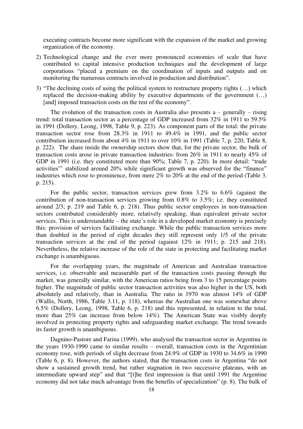executing contracts become more significant with the expansion of the market and growing organization of the economy.

- 2) Technological change and the ever more pronounced economies of scale that have contributed to capital intensive production techniques and the development of large corporations "placed a premium on the coordination of inputs and outputs and on monitoring the numerous contracts involved in production and distribution".
- 3) "The declining costs of using the political system to restructure property rights (…) which replaced the decision-making ability by executive departments of the government (…) [and] imposed transaction costs on the rest of the economy".

The evolution of the transaction costs in Australia also presents  $a$  – generally – rising trend: total transaction sector as a percentage of GDP increased from 32% in 1911 to 59.5% in 1991 (Dollery, Leong, 1998, Table 9, p. 223). As component parts of the total: the private transaction sector rose from 28.3% in 1911 to 49.4% in 1991, and the public sector contribution increased from about 4% in 1911 to over 10% in 1991 (Table 7, p. 220, Table 8, p. 222). The share inside the ownership sectors show that, for the private sector, the bulk of transaction costs arose in private transaction industries: from 26% in 1911 to nearly 45% of GDP in 1991 (i.e. they constituted more than 90%; Table 7, p. 220). In more detail: "trade activities"' stabilized around 20% while significant growth was observed for the "finance" industries which rose to prominence, from mere 2% to 20% at the end of the period (Table 3, p. 215).

For the public sector, transaction services grew from 3.2% to 6.6% (against the contribution of non-transaction services growing from 0.8% to 3.5%; i.e. they constituted around 2/3; p. 219 and Table 6, p. 218). Thus public sector employees in non-transaction sectors contributed considerably more, relatively speaking, than equivalent private sector services. This is understandable – the state's role in a developed market economy is precisely this: provision of services facilitating exchange. While the public transaction services more than doubled in the period of eight decades they still represent only 1/5 of the private transaction services at the end of the period (against 12% in 1911; p. 215 and 218). Nevertheless, the relative increase of the role of the state in protecting and facilitating market exchange is unambiguous.

For the overlapping years, the magnitude of American and Australian transaction services, i.e. observable and measurable part of the transaction costs passing through the market, was generally similar, with the American ratios being from 3 to 15 percentage points higher. The magnitude of public sector transaction activities was also higher in the US, both absolutely and relatively, than in Australia. The ratio in 1970 was almost 14% of GDP (Wallis, North, 1986, Table 3.11, p. 118), whereas the Australian one was somewhat above 6.5% (Dollery, Leong, 1998, Table 6, p. 218) and this represented, in relation to the total, more than 25% (an increase from below 14%). The American State was visibly deeply involved in protecting property rights and safeguarding market exchange. The trend towards its faster growth is unambiguous.

Dagnino-Pastore and Farina (1999), who analysed the transaction sector in Argentina in the years 1930-1990 came to similar results – overall, transaction costs in the Argentinian economy rose, with periods of slight decrease from 24.9% of GDP in 1930 to 34.6% in 1990 (Table 6, p. 8). However, the authors stated, that the transaction costs in Argentina "do not show a sustained growth trend, but rather stagnation in two successive plateaus, with an intermediate upward step" and that "[t]he first impression is that until 1991 the Argentine economy did not take much advantage from the benefits of specialization" (p. 8). The bulk of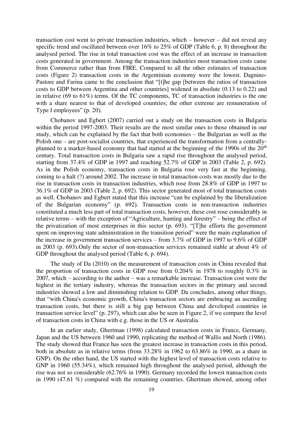transaction cost went to private transaction industries, which – however – did not reveal any specific trend and oscillated between over 16% to 25% of GDP (Table 6, p. 8) throughout the analysed period. The rise in total transaction cost was the effect of an increase in transaction costs generated in government. Among the transaction industries most transaction costs came from Commerce rather than from FIRE. Compared to all the other estimates of transaction costs (Figure 2) transaction costs in the Argentinian economy were the lowest. Dagnino-Pastore and Farina came to the conclusion that "[t]he gap [between the ratios of transaction costs to GDP between Argentina and other countries] widened in absolute (0.13 to 0.22) and in relative (69 to 61%) terms. Of the TC components, TC of transaction industries is the one with a share nearest to that of developed countries; the other extreme are remuneration of Type I employees" (p. 20).

Chobanov and Egbert (2007) carried out a study on the transaction costs in Bulgaria within the period 1997-2003. Their results are the most similar ones to those obtained in our study, which can be explained by the fact that both economies – the Bulgarian as well as the Polish one – are post-socialist countries, that experienced the transformation from a centrallyplanned to a market-based economy that had started at the beginning of the 1990s of the  $20<sup>th</sup>$ century. Total transaction costs in Bulgaria saw a rapid rise throughout the analysed period, starting from 37.4% of GDP in 1997 and reaching 52.7% of GDP in 2003 (Table 2, p. 692). As in the Polish economy, transaction costs in Bulgaria rose very fast at the beginning, coming to a halt (?) around 2002. The increase in total transaction costs was mostly due to the rise in transaction costs in transaction industries, which rose from 28.8% of GDP in 1997 to 36.1% of GDP in 2003 (Table 2, p. 692). This sector generated most of total transaction costs as well. Chobanov and Egbert stated that this increase "can be explained by the liberalization of the Bulgarian economy" (p. 692). Transaction costs in non-transaction industries constituted a much less part of total transaction costs, however, these cost rose considerably in relative terms – with the exception of "Agriculture, hunting and forestry" – being the effect of the privatization of most enterprises in this sector (p. 693). "[T]he efforts the government spent on improving state administration in the transition period" were the main explanation of the increase in government transaction services – from 3.7% of GDP in 1997 to 9.6% of GDP in 2003 (p. 693).Only the sector of non-transaction services remained stable at about 4% of GDP throughout the analysed period (Table 6, p. 694).

The study of Da (2010) on the measurement of transaction costs in China revealed that the proportion of transaction costs in GDP rose from 0.204% in 1978 to roughly 0.3% in 2007, which – according to the author – was a remarkable increase. Transaction cost were the highest in the tertiary industry, whereas the transaction sectors in the primary and second industries showed a low and diminishing relation to GDP. Da concludes, among other things, that "with China's economic growth, China's transaction sectors are embracing an ascending transaction costs, but there is still a big gap between China and developed countries in transaction service level" (p. 297), which can also be seen in Figure 2, if we compare the level of transaction costs in China with e.g. those in the US or Australia.

In an earlier study, Ghertman (1998) calculated transaction costs in France, Germany, Japan and the US between 1960 and 1990, replicating the method of Wallis and North (1986). The study showed that France has seen the greatest increase in transaction costs in this period, both in absolute as in relative terms (from 33.28% in 1962 to 63.86% in 1990, as a share in GNP). On the other hand, the US started with the highest level of transaction costs relative to GNP in 1960 (55.34%), which remained high throughout the analysed period, although the rise was not so considerable (62.76% in 1990). Germany recorded the lowest transaction costs in 1990 (47.61 %) compared with the remaining countries. Ghertman showed, among other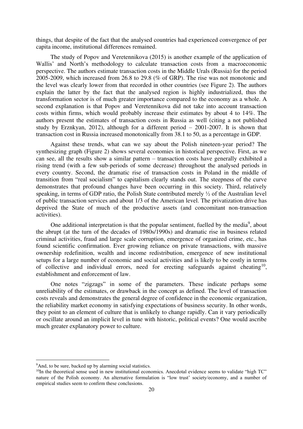things, that despite of the fact that the analysed countries had experienced convergence of per capita income, institutional differences remained.

The study of Popov and Veretennikova (2015) is another example of the application of Wallis' and North's methodology to calculate transaction costs from a macroeconomic perspective. The authors estimate transaction costs in the Middle Urals (Russia) for the period 2005-2009, which increased from 26.8 to 29.8 (% of GRP). The rise was not monotonic and the level was clearly lower from that recorded in other countries (see Figure 2). The authors explain the latter by the fact that the analysed region is highly industrialized, thus the transformation sector is of much greater importance compared to the economy as a whole. A second explanation is that Popov and Veretennikova did not take into account transaction costs within firms, which would probably increase their estimates by about 4 to 14%. The authors present the estimates of transaction costs in Russia as well (citing a not published study by Erznkyan, 2012), although for a different period – 2001-2007. It is shown that transaction cost in Russia increased monotonically from 38.1 to 50, as a percentage in GDP.

Against these trends, what can we say about the Polish nineteen-year period? The synthesizing graph (Figure 2) shows several economies in historical perspective. First, as we can see, all the results show a similar pattern – transaction costs have generally exhibited a rising trend (with a few sub-periods of some decrease) throughout the analysed periods in every country. Second, the dramatic rise of transaction costs in Poland in the middle of transition from "real socialism" to capitalism clearly stands out. The steepness of the curve demonstrates that profound changes have been occurring in this society. Third, relatively speaking, in terms of GDP ratio, the Polish State contributed merely ½ of the Australian level of public transaction services and about 1/3 of the American level. The privatization drive has deprived the State of much of the productive assets (and concomitant non-transaction activities).

One additional interpretation is that the popular sentiment, fuelled by the media $9$ , about the abrupt (at the turn of the decades of 1980s/1990s) and dramatic rise in business related criminal activities, fraud and large scale corruption, emergence of organized crime, etc., has found scientific confirmation. Ever growing reliance on private transactions, with massive ownership redefinition, wealth and income redistribution, emergence of new institutional setups for a large number of economic and social activities and is likely to be costly in terms of collective and individual errors, need for erecting safeguards against cheating<sup>10</sup>, establishment and enforcement of law.

One notes "zigzags" in some of the parameters. These indicate perhaps some unreliability of the estimates, or drawback in the concept as defined. The level of transaction costs reveals and demonstrates the general degree of confidence in the economic organization, the reliability market economy in satisfying expectations of business security. In other words, they point to an element of culture that is unlikely to change rapidly. Can it vary periodically or oscillate around an implicit level in tune with historic, political events? One would ascribe much greater explanatory power to culture.

<sup>&</sup>lt;sup>9</sup>And, to be sure, backed up by alarming social statistics.

<sup>&</sup>lt;sup>10</sup>In the theoretical sense used in new institutional economics. Anecdotal evidence seems to validate "high TC" nature of the Polish economy. An alternative formulation is "low trust' society/economy, and a number of empirical studies seem to confirm these conclusions.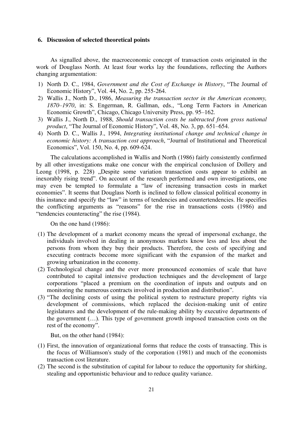#### **6. Discussion of selected theoretical points**

As signalled above, the macroeconomic concept of transaction costs originated in the work of Douglass North. At least four works lay the foundations, reflecting the Authors changing argumentation:

- 1) North D. C., 1984, *Government and the Cost of Exchange in History*, "The Journal of Economic History", Vol. 44, No. 2, pp. 255-264.
- 2) Wallis J., North D., 1986, *Measuring the transaction sector in the American economy, 1870–1970*, in: S. Engerman, R. Gallman, eds., "Long Term Factors in American Economic Growth", Chicago, Chicago University Press, pp. 95–162.
- 3) Wallis J., North D., 1988, *Should transaction costs be subtracted from gross national product*, "The Journal of Economic History", Vol. 48, No. 3, pp. 651–654.
- 4) North D. C., Wallis J., 1994, *Integrating institutional change and technical change in economic history: A transaction cost approach*, "Journal of Institutional and Theoretical Economics", Vol. 150, No. 4, pp. 609-624.

The calculations accomplished in Wallis and North (1986) fairly consistently confirmed by all other investigations make one concur with the empirical conclusion of Dollery and Leong (1998, p. 228) .,Despite some variation transaction costs appear to exhibit an inexorably rising trend". On account of the research performed and own investigations, one may even be tempted to formulate a "law of increasing transaction costs in market economies". It seems that Douglass North is inclined to follow classical political economy in this instance and specify the "law" in terms of tendencies and countertendencies. He specifies the conflicting arguments as "reasons" for the rise in transactions costs (1986) and "tendencies counteracting" the rise (1984).

On the one hand (1986):

- (1) The development of a market economy means the spread of impersonal exchange, the individuals involved in dealing in anonymous markets know less and less about the persons from whom they buy their products. Therefore, the costs of specifying and executing contracts become more significant with the expansion of the market and growing urbanization in the economy.
- (2) Technological change and the ever more pronounced economies of scale that have contributed to capital intensive production techniques and the development of large corporations "placed a premium on the coordination of inputs and outputs and on monitoring the numerous contracts involved in production and distribution".
- (3) "The declining costs of using the political system to restructure property rights via development of commissions, which replaced the decision-making unit of entire legislatures and the development of the rule-making ability by executive departments of the government (…). This type of government growth imposed transaction costs on the rest of the economy".

But, on the other hand (1984):

- (1) First, the innovation of organizational forms that reduce the costs of transacting. This is the focus of Williamson's study of the corporation (1981) and much of the economists transaction cost literature.
- (2) The second is the substitution of capital for labour to reduce the opportunity for shirking, stealing and opportunistic behaviour and to reduce quality variance.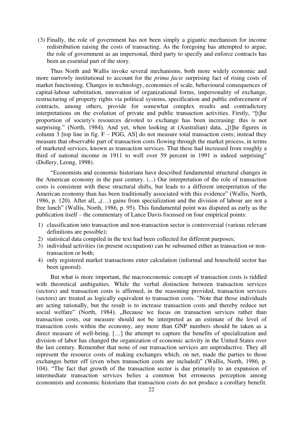(3) Finally, the role of government has not been simply a gigantic mechanism for income redistribution raising the costs of transacting. As the foregoing has attempted to argue, the role of government as an impersonal, third party to specify and enforce contracts has been an essential part of the story.

Thus North and Wallis invoke several mechanisms, both more widely economic and more narrowly institutional to account for the *prima facie* surprising fact of rising costs of market functioning. Changes in technology, economies of scale, behavioural consequences of capital-labour substitution, innovation of organizational forms, impersonality of exchange, restructuring of property rights via political systems, specification and public enforcement of contracts, among others, provide for somewhat complex results and contradictory interpretations on the evolution of private and public transaction activities. Firstly, "[t]he proportion of society's resources devoted to exchange has been increasing: this is not surprising." (North, 1984). And yet, when looking at (Australian) data,  $\sqrt{t}$  [t] figures in column 3 [top line in fig.  $F - PGG$ , AS] do not measure total transaction costs; instead they measure that observable part of transaction costs flowing through the market process, in terms of marketed services, known as transaction services. That these had increased from roughly a third of national income in 1911 to well over 59 percent in 1991 is indeed surprising" (Dollery, Leong, 1998).

"Economists and economic historians have described fundamental structural changes in the American economy in the past century. (...) Our interpretation of the role of transaction costs is consistent with these structural shifts, but leads to a different interpretation of the American economy than has been traditionally associated with this evidence" (Wallis, North, 1986, p. 120). After all,  $(., . . )$  gains from specialization and the division of labour are not a free lunch" (Wallis, North, 1986, p. 95). This fundamental point was disputed as early as the publication itself – the commentary of Lance Davis focussed on four empirical points:

- 1) classification into transaction and non-transaction sector is controversial (various relevant definitions are possible);
- 2) statistical data compiled in the text had been collected for different purposes;
- 3) individual activities (in present occupation) can be subsumed either as transaction or nontransaction or both;
- 4) only registered market transactions enter calculation (informal and household sector has been ignored).

But what is more important, the macroeconomic concept of transaction costs is riddled with theoretical ambiguities. While the verbal distinction between transaction services (sectors) and transaction costs is affirmed, in the reasoning provided, transaction services (sectors) are treated as logically equivalent to transaction costs. "Note that those individuals are acting rationally, but the result is to increase transaction costs and thereby reduce net social welfare" (North, 1984). "Because we focus on transaction services rather than transaction costs, our measure should not be interpreted as an estimate of the level of transaction costs within the economy, any more than GNP numbers should be taken as a direct measure of well-being. […] the attempt to capture the benefits of specialization and division of labor has changed the organization of economic activity in the United States over the last century. Remember that none of our transaction services are unproductive. They all represent the resource costs of making exchanges which, on net, made the parties to those exchanges better off (even when transaction costs are included)" (Wallis, North, 1986, p. 104). "The fact that growth of the transaction sector is due primarily to an expansion of intermediate transaction services belies a common but erroneous perception among economists and economic historians that transaction costs do not produce a corollary benefit.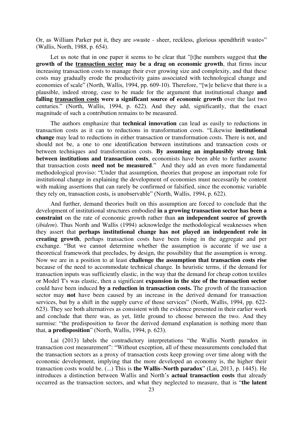Or, as William Parker put it, they are »waste - sheer, reckless, glorious spendthrift waste«" (Wallis, North, 1988, p. 654).

Let us note that in one paper it seems to be clear that "[t]he numbers suggest that **the growth of the transaction sector may be a drag on economic growth**, that firms incur increasing transaction costs to manage their ever growing size and complexity, and that these costs may gradually erode the productivity gains associated with technological change and economies of scale" (North, Wallis, 1994, pp. 609-10). Therefore, "[w]e believe that there is a plausible, indeed strong, case to be made for the argument that institutional change **and**  falling transaction costs were a significant source of economic growth over the last two centuries." (North, Wallis, 1994, p. 622). And they add, significantly, that the exact magnitude of such a contribution remains to be measured.

The authors emphasize that **technical innovation** can lead as easily to reductions in transaction costs as it can to reductions in transformation costs. "Likewise **institutional change** may lead to reductions in either transaction or transformation costs. There is not, and should not be, a one to one identification between institutions and transaction costs or between techniques and transformation costs. **By assuming an implausibly strong link between institutions and transaction costs**, economists have been able to further assume that transaction costs **need not be measured**." And they add an even more fundamental methodological proviso: "Under that assumption, theories that propose an important role for institutional change in explaining the development of economies must necessarily be content with making assertions that can rarely be confirmed or falsified, since the economic variable they rely on, transaction costs, is unobservable" (North, Wallis, 1994, p. 622).

And further, demand theories built on this assumption are forced to conclude that the development of institutional structures embodied **in a growing transaction sector has been a constraint** on the rate of economic growth rather than **an independent source of growth** (*ibidem*). Thus North and Wallis (1994) acknowledge the methodological weaknesses when they assert that **perhaps institutional change has not played an independent role in creating growth**, perhaps transaction costs have been rising in the aggregate and per exchange. "But we cannot determine whether the assumption is accurate if we use a theoretical framework that precludes, by design, the possibility that the assumption is wrong. Now we are in a position to at least **challenge the assumption that transaction costs rise** because of the need to accommodate technical change. In heuristic terms, if the demand for transaction inputs was sufficiently elastic, in the way that the demand for cheap cotton textiles or Model T's was elastic, then a significant **expansion in the size of the transaction sector** could have been induced **by a reduction in transaction costs.** The growth of the transaction sector may **not** have been caused by an increase in the derived demand for transaction services, but by a shift in the supply curve of those services" (North, Wallis, 1994, pp. 622- 623). They see both alternatives as consistent with the evidence presented in their earlier work and conclude that there was, as yet, little ground to choose between the two. And they surmise: "the predisposition to favor the derived demand explanation is nothing more than that, **a predisposition**" (North, Wallis, 1994, p. 623).

Lai (2013) labels the contradictory interpretations "the Wallis North paradox in transaction cost measurement": "Without exception, all of these measurements concluded that the transaction sectors as a proxy of transaction costs keep growing over time along with the economic development, implying that the more developed an economy is, the higher their transaction costs would be. (...) This is **the Wallis–North paradox**" (Lai, 2013, p. 1445). He introduces a distinction between Wallis and North's **actual transaction costs** that already occurred as the transaction sectors, and what they neglected to measure, that is "**the latent**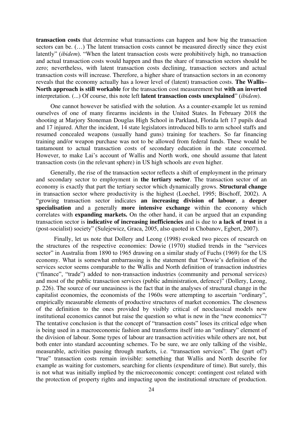**transaction costs** that determine what transactions can happen and how big the transaction sectors can be.  $(...)$  The latent transaction costs cannot be measured directly since they exist latently" (*ibidem*). "When the latent transaction costs were prohibitively high, no transaction and actual transaction costs would happen and thus the share of transaction sectors should be zero; nevertheless, with latent transaction costs declining, transaction sectors and actual transaction costs will increase. Therefore, a higher share of transaction sectors in an economy reveals that the economy actually has a lower level of (latent) transaction costs. **The Wallis– North approach is still workable** for the transaction cost measurement but **with an inverted**  interpretation. (...) Of course, this note left **latent transaction costs unexplained**" (*ibidem*).

One cannot however be satisfied with the solution. As a counter-example let us remind ourselves of one of many firearms incidents in the United States. In February 2018 the shooting at Marjory Stoneman Douglas High School in Parkland, Florida left 17 pupils dead and 17 injured. After the incident, 14 state legislators introduced bills to arm school staffs and resumed concealed weapons (usually hand guns) training for teachers. So far financing training and/or weapon purchase was not to be allowed from federal funds. These would be tantamount to actual transaction costs of secondary education in the state concerned. However, to make Lai's account of Wallis and North work, one should assume that latent transaction costs (in the relevant sphere) in US high schools are even higher.

Generally, the rise of the transaction sector reflects a shift of employment in the primary and secondary sector to employment in **the tertiary sector**. The transaction sector of an economy is exactly that part the tertiary sector which dynamically grows. **Structural change** in transaction sector where productivity is the highest (Loechel, 1995; Bischoff, 2002). A "growing transaction sector indicates **an increasing division of labour**, a **deeper specialisation** and a generally **more intensive exchange** within the economy which correlates with **expanding markets.** On the other hand, it can be argued that an expanding transaction sector is **indicative of increasing inefficiencies** and is due to **a lack of trust** in a (post-socialist) society" (Sulejewicz, Graca, 2005, also quoted in Chobanov, Egbert, 2007).

Finally, let us note that Dollery and Leong (1998) evoked two pieces of research on the structures of the respective economies: Dowie (1970) studied trends in the "services sector" in Australia from 1890 to 1965 drawing on a similar study of Fuchs (1969) for the US economy. What is somewhat embarrassing is the statement that "Dowie's definition of the services sector seems comparable to the Wallis and North definition of transaction industries ("finance", "trade") added to non-transaction industries (community and personal services) and most of the public transaction services (public administration, defence)" (Dollery, Leong, p. 226). The source of our uneasiness is the fact that in the analyses of structural change in the capitalist economies, the economists of the 1960s were attempting to ascertain "ordinary", empirically measurable elements of productive structures of market economies. The closeness of the definition to the ones provided by visibly critical of neoclassical models new institutional economics cannot but raise the question so what is new in the "new economics"? The tentative conclusion is that the concept of "transaction costs" loses its critical edge when is being used in a macroeconomic fashion and transforms itself into an "ordinary" element of the division of labour. Some types of labour are transaction activities while others are not, but both enter into standard accounting schemes. To be sure, we are only talking of the visible, measurable, activities passing through markets, i.e. "transaction services". The (part of?) "true" transaction costs remain invisible: something that Wallis and North describe for example as waiting for customers, searching for clients (expenditure of time). But surely, this is not what was initially implied by the microeconomic concept: contingent cost related with the protection of property rights and impacting upon the institutional structure of production.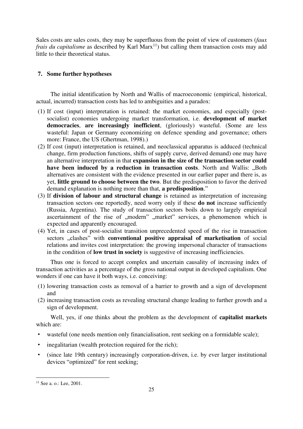Sales costs are sales costs, they may be superfluous from the point of view of customers (*faux frais du capitalisme* as described by Karl Marx<sup>11</sup>) but calling them transaction costs may add little to their theoretical status.

### **7. Some further hypotheses**

The initial identification by North and Wallis of macroeconomic (empirical, historical, actual, incurred) transaction costs has led to ambiguities and a paradox:

- (1) If cost (input) interpretation is retained: the market economies, and especially (postsocialist) economies undergoing market transformation, i.e. **development of market democracies**, **are increasingly inefficient**, (gloriously) wasteful. (Some are less wasteful: Japan or Germany economizing on defence spending and governance; others more: France, the US (Ghertman, 1998).)
- (2) If cost (input) interpretation is retained, and neoclassical apparatus is adduced (technical change, firm production functions, shifts of supply curve, derived demand) one may have an alternative interpretation in that **expansion in the size of the transaction sector could**  have been induced by a reduction in transaction costs. North and Wallis: "Both alternatives are consistent with the evidence presented in our earlier paper and there is, as yet, **little ground to choose between the two**. But the predisposition to favor the derived demand explanation is nothing more than that, **a predisposition**."
- (3) If **division of labour and structural change** is retained as interpretation of increasing transaction sectors one reportedly, need worry only if these **do not** increase sufficiently (Russia, Argentina). The study of transaction sectors boils down to largely empirical ascertainment of the rise of "modern" "market" services, a phenomenon which is expected and apparently encouraged.
- (4) Yet, in cases of post-socialist transition unprecedented speed of the rise in transaction sectors "clashes" with **conventional positive appraisal of marketisation** of social relations and invites cost interpretation: the growing impersonal character of transactions in the condition of **low trust in society** is suggestive of increasing inefficiencies.

Thus one is forced to accept complex and uncertain causality of increasing index of transaction activities as a percentage of the gross national output in developed capitalism. One wonders if one can have it both ways, i.e. conceiving:

- (1) lowering transaction costs as removal of a barrier to growth and a sign of development and
- (2) increasing transaction costs as revealing structural change leading to further growth and a sign of development.

Well, yes, if one thinks about the problem as the development of **capitalist markets** which are:

- wasteful (one needs mention only financialisation, rent seeking on a formidable scale);
- inegalitarian (wealth protection required for the rich);
- (since late 19th century) increasingly corporation-driven, i.e. by ever larger institutional devices "optimized" for rent seeking;

<sup>11</sup> See a. o.: Lee, 2001.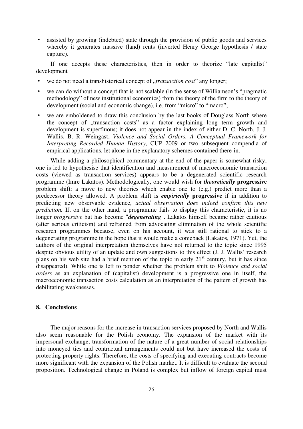• assisted by growing (indebted) state through the provision of public goods and services whereby it generates massive (land) rents (inverted Henry George hypothesis / state capture).

If one accepts these characteristics, then in order to theorize "late capitalist" development

- we do not need a transhistorical concept of "*transaction cost*" any longer;
- we can do without a concept that is not scalable (in the sense of Williamson's "pragmatic methodology" of new institutional economics) from the theory of the firm to the theory of development (social and economic change), i.e. from "micro" to "macro";
- we are emboldened to draw this conclusion by the last books of Douglass North where the concept of "transaction costs" as a factor explaining long term growth and development is superfluous; it does not appear in the index of either D. C. North, J. J. Wallis, B. R. Weingast, *Violence and Social Orders. A Conceptual Framework for Interpreting Recorded Human History*, CUP 2009 or two subsequent compendia of empirical applications, let alone in the explanatory schemes contained there-in.

While adding a philosophical commentary at the end of the paper is somewhat risky, one is led to hypothesise that identification and measurement of macroeconomic transaction costs (viewed as transaction services) appears to be a degenerated scientific research programme (Imre Lakatos). Methodologically, one would wish for *theoretically* **progressive** problem shift: a move to new theories which enable one to (e.g.) predict more than a predecessor theory allowed. A problem shift is *empirically* **progressive** if in addition to predicting new observable evidence, *actual observation does indeed confirm this new prediction.* If, on the other hand, a programme fails to display this characteristic, it is no longer *progressive* but has become "*degenerating*". Lakatos himself became rather cautious (after serious criticism) and refrained from advocating elimination of the whole scientific research programmes because, even on his account, it was still rational to stick to a degenerating programme in the hope that it would make a comeback (Lakatos, 1971). Yet, the authors of the original interpretation themselves have not returned to the topic since 1995 despite obvious utility of an update and own suggestions to this effect (J. J. Wallis' research plans on his web site had a brief mention of the topic in early  $21<sup>st</sup>$  century, but it has since disappeared). While one is left to ponder whether the problem shift to *Violence and social orders* as an explanation of (capitalist) development is a progressive one in itself, the macroeconomic transaction costs calculation as an interpretation of the pattern of growth has debilitating weaknesses.

#### **8. Conclusions**

The major reasons for the increase in transaction services proposed by North and Wallis also seem reasonable for the Polish economy. The expansion of the market with its impersonal exchange, transformation of the nature of a great number of social relationships into moneyed ties and contractual arrangements could not but have increased the costs of protecting property rights. Therefore, the costs of specifying and executing contracts become more significant with the expansion of the Polish market. It is difficult to evaluate the second proposition. Technological change in Poland is complex but inflow of foreign capital must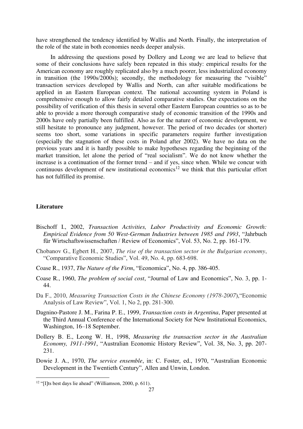have strengthened the tendency identified by Wallis and North. Finally, the interpretation of the role of the state in both economies needs deeper analysis.

In addressing the questions posed by Dollery and Leong we are lead to believe that some of their conclusions have safely been repeated in this study: empirical results for the American economy are roughly replicated also by a much poorer, less industrialized economy in transition (the 1990s/2000s); secondly, the methodology for measuring the "visible" transaction services developed by Wallis and North, can after suitable modifications be applied in an Eastern European context. The national accounting system in Poland is comprehensive enough to allow fairly detailed comparative studies. Our expectations on the possibility of verification of this thesis in several other Eastern European countries so as to be able to provide a more thorough comparative study of economic transition of the 1990s and 2000s have only partially been fulfilled. Also as for the nature of economic development, we still hesitate to pronounce any judgment, however. The period of two decades (or shorter) seems too short, some variations in specific parameters require further investigation (especially the stagnation of these costs in Poland after 2002). We have no data on the previous years and it is hardly possible to make hypotheses regarding the beginning of the market transition, let alone the period of "real socialism". We do not know whether the increase is a continuation of the former trend – and if yes, since when. While we concur with continuous development of new institutional economics<sup>12</sup> we think that this particular effort has not fulfilled its promise.

#### **Literature**

- Bischoff I., 2002, *Transaction Activities, Labor Productivity and Economic Growth: Empirical Evidence from 50 West-German Industries between 1985 and 1993*, "Jahrbuch für Wirtschaftswissenschaften / Review of Economics", Vol. 53, No. 2, pp. 161-179.
- Chobanov G., Egbert H., 2007, *The rise of the transaction sector in the Bulgarian economy*, "Comparative Economic Studies", Vol. 49, No. 4, pp. 683-698.
- Coase R., 1937, *The Nature of the Firm*, "Economica", No. 4, pp. 386-405.
- Coase R., 1960, *The problem of social cost*, "Journal of Law and Economics", No. 3, pp. 1- 44.
- Da F., 2010, *Measuring Transaction Costs in the Chinese Economy (1978-2007*),"Economic Analysis of Law Review", Vol. 1, No 2, pp. 281-300.
- Dagnino-Pastore J. M., Farina P. E., 1999, *Transaction costs in Argentina*, Paper presented at the Third Annual Conference of the International Society for New Institutional Economics, Washington, 16–18 September.
- Dollery B. E., Leong W. H., 1998, *Measuring the transaction sector in the Australian Economy, 1911-1991*, "Australian Economic History Review", Vol. 38, No. 3, pp. 207- 231.
- Dowie J. A., 1970, *The service ensemble*, in: C. Foster, ed., 1970, "Australian Economic Development in the Twentieth Century", Allen and Unwin, London.

<sup>&</sup>lt;sup>12</sup> "[I]ts best days lie ahead" (Williamson, 2000, p. 611).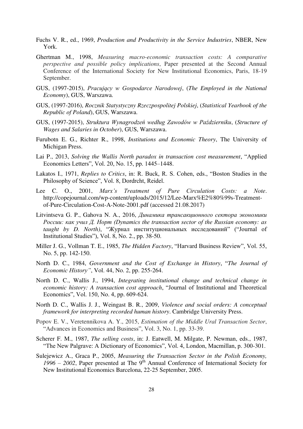- Fuchs V. R., ed., 1969, *Production and Productivity in the Service Industries*, NBER, New York.
- Ghertman M., 1998, *Measuring macro-economic transaction costs: A comparative perspective and possible policy implications*, Paper presented at the Second Annual Conference of the International Society for New Institutional Economics, Paris, 18-19 September.
- GUS, (1997-2015), *Pracujący w Gospodarce Narodowej*, (*The Employed in the National Economy*), GUS, Warszawa.
- GUS, (1997-2016), *Rocznik Statystyczny Rzeczpospolitej Polskiej*, (*Statistical Yearbook of the Republic of Poland*), GUS, Warszawa.
- GUS, (1997-2015), *Struktura Wynagrodzeń według Zawodów w Październiku*, (*Structure of Wages and Salaries in October*), GUS, Warszawa.
- Furubotn E. G., Richter R., 1998, *Institutions and Economic Theory*, The University of Michigan Press.
- Lai P., 2013, *Solving the Wallis North paradox in transaction cost measurement*, "Applied Economics Letters", Vol. 20, No. 15, pp. 1445–1448.
- Lakatos I., 1971, *Replies to Critics*, in: R. Buck, R. S. Cohen, eds., "Boston Studies in the Philosophy of Science", Vol. 8, Dordrcht, Reidel.
- Lee C. O., 2001, *Marx's Treatment of Pure Circulation Costs: a Note*. [http://copejournal.com/wp-content/uploads/2015/12/Lee-Marx%E2%80%99s-Treatment](http://copejournal.com/wp-content/uploads/2015/12/Lee-Marx%E2%80%99s-Treatment-of-Pure-Circulation-Cost-A-Note-2001.pdf)[of-Pure-Circulation-Cost-A-Note-2001.pdf](http://copejournal.com/wp-content/uploads/2015/12/Lee-Marx%E2%80%99s-Treatment-of-Pure-Circulation-Cost-A-Note-2001.pdf) (accessed 21.08.2017)
- Litvintseva G. P., Gahova N. A., 2016, *Динамика трансакционного сектора экономики России: как учил Д. Норт (Dynamics the transaction sector of the Russian economy: as taught by D. North)*, "Журнал институциональных исследований" ("Journal of Institutional Studies"), Vol. 8, No. 2., pp. 38-50.
- Miller J. G., Vollman T. E., 1985, *The Hidden Factory*, "Harvard Business Review", Vol. 55, No. 5, pp. 142-150.
- North D. C., 1984, *Government and the Cost of Exchange in History*, "*The Journal of Economic History"*, Vol. 44, No. 2, pp. 255-264.
- North D. C., Wallis J., 1994, *Integrating institutional change and technical change in economic history: A transaction cost approach*, "Journal of Institutional and Theoretical Economics", Vol. 150, No. 4, pp. 609-624.
- North D. C., Wallis J. J., Weingast B. R., 2009, *Violence and social orders: A conceptual framework for interpreting recorded human history*. Cambridge University Press.
- Popov E. V., Veretennikova A. Y., 2015, *Estimation of the Middle Ural Transaction Sector*, "Advances in Economics and Business", Vol. 3, No. 1, pp. 33-39.
- Scherer F. M., 1987, *The selling costs*, in: J. Eatwell, M. Milgate, P. Newman, eds., 1987, "The New Palgrave: A Dictionary of Economics", Vol. 4, London, Macmillan, p. 300-301.
- Sulejewicz A., Graca P., 2005, *Measuring the Transaction Sector in the Polish Economy, 1996 – 2002*, Paper presented at The 9th Annual Conference of International Society for New Institutional Economics Barcelona, 22-25 September, 2005.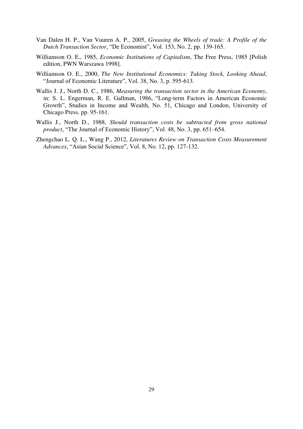- Van Dalen H. P., Van Vuuren A. P., 2005, *Greasing the Wheels of trade: A Profile of the Dutch Transaction Sector*, "De Economist", Vol. 153, No. 2, pp. 139-165.
- Williamson O. E., 1985, *Economic Institutions of Capitalism*, The Free Press, 1985 [Polish edition, PWN Warszawa 1998].
- Williamson O. E., 2000, *The New Institutional Economics: Taking Stock, Looking Ahead*, "Journal of Economic Literature", Vol. 38, No. 3, p. 595-613.
- Wallis J. J., North D. C., 1986, *Measuring the transaction sector in the American Economy*, in: S. L. Engerman, R. E. Gallman, 1986, "Long-term Factors in American Economic Growth", Studies in Income and Wealth, No. 51, Chicago and London, University of Chicago Press. pp. 95-161.
- Wallis J., North D., 1988, *Should transaction costs be subtracted from gross national product*, "The Journal of Economic History", Vol. 48, No. 3, pp. 651–654.
- Zhengchao L. Q. L., Wang P., 2012, *Literatures Review on Transaction Costs Measurement Advances*, "Asian Social Science", Vol. 8, No. 12, pp. 127-132.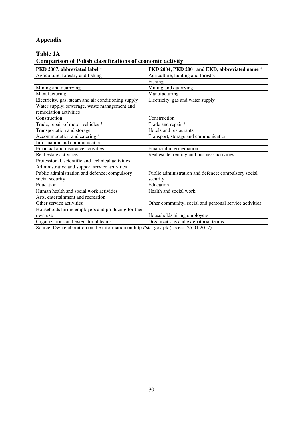# **Appendix**

## **Table 1A**

**Comparison of Polish classifications of economic activity** 

| PKD 2007, abbreviated label *                       | PKD 2004, PKD 2001 and EKD, abbreviated name*           |
|-----------------------------------------------------|---------------------------------------------------------|
| Agriculture, forestry and fishing                   | Agriculture, hunting and forestry                       |
|                                                     | Fishing                                                 |
| Mining and quarrying                                | Mining and quarrying                                    |
| Manufacturing                                       | Manufacturing                                           |
| Electricity, gas, steam and air conditioning supply | Electricity, gas and water supply                       |
| Water supply; sewerage, waste management and        |                                                         |
| remediation activities                              |                                                         |
| Construction                                        | Construction                                            |
| Trade, repair of motor vehicles *                   | Trade and repair *                                      |
| Transportation and storage                          | Hotels and restaurants                                  |
| Accommodation and catering *                        | Transport, storage and communication                    |
| Information and communication                       |                                                         |
| Financial and insurance activities                  | Financial intermediation                                |
| Real estate activities                              | Real estate, renting and business activities            |
| Professional, scientific and technical activities   |                                                         |
| Administrative and support service activities       |                                                         |
| Public administration and defence; compulsory       | Public administration and defence; compulsory social    |
| social security                                     | security                                                |
| Education                                           | Education                                               |
| Human health and social work activities             | Health and social work                                  |
| Arts, entertainment and recreation                  |                                                         |
| Other service activities                            | Other community, social and personal service activities |
| Households hiring employers and producing for their |                                                         |
| own use                                             | Households hiring employers                             |
| Organizations and exterritorial teams               | Organizations and exterritorial teams                   |

Source: Own elaboration on the information on<http://stat.gov.pl/>(access: 25.01.2017).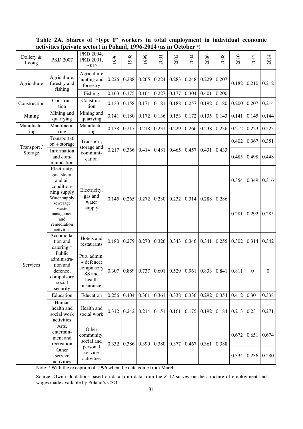| Dollery &<br>Leong | <b>PKD 2007</b>                                                                     | PKD 2004,<br>PKD 2001,<br><b>EKD</b>                                     | 996   | 998   | 999   | 2001  | 2002                            | 2004  | 2006  | 2008  | 2010               | 2012     | 2014     |
|--------------------|-------------------------------------------------------------------------------------|--------------------------------------------------------------------------|-------|-------|-------|-------|---------------------------------|-------|-------|-------|--------------------|----------|----------|
| Agriculture        | Agriculture,<br>forestry and<br>fishing                                             | Agriculture<br>hunting and<br>forrestry                                  | 0.226 | 0.288 | 0.265 | 0.224 | 0.283                           | 0.248 | 0.229 | 0.207 | 0.182              | 0.210    | 0.212    |
|                    |                                                                                     | Fishing                                                                  | 0.163 | 0.175 | 0.164 | 0.227 | 0.177                           | 0.304 | 0.401 | 0.200 |                    |          |          |
| Construction       | Construc-<br>tion                                                                   | Construc-<br>tion                                                        | 0.133 | 0.158 | 0.171 | 0.181 | 0.188                           | 0.257 | 0.192 | 0.180 | 0.200              | 0.207    | 0.214    |
| Mining             | Mining and<br>quarrying                                                             | Mining and<br>quarrying                                                  | 0.141 | 0.180 | 0.172 | 0.136 | 0.153                           | 0.172 | 0.135 | 0.143 | 0.141              | 0.145    | 0.144    |
| Manufactu-<br>ring | Manufactu-<br>ring                                                                  | Manufactu-<br>ring                                                       | 0.138 | 0.217 | 0.218 | 0.231 | 0.229                           | 0.266 | 0.238 | 0.236 | 0.212              | 0.223    | 0.223    |
| Transport /        | Transportati<br>$on + storage$                                                      | Transport,<br>storage and                                                | 0.217 | 0.366 | 0.414 | 0.481 | 0.465                           | 0.457 | 0.431 | 0.433 | 0.402              | 0.367    | 0.351    |
| Storage            | Information<br>and com-<br>munication                                               | communi-<br>cation                                                       |       |       |       |       |                                 |       |       |       | 0.485              | 0.498    | 0.448    |
|                    | Electricity,<br>gas, steam<br>and air<br>condition-<br>ning supply                  | Electricity,<br>gas and<br>water<br>supply                               |       |       |       |       | 0.232                           |       |       |       | 0.354              | 0.349    | 0.316    |
|                    | Water supply<br>sewerage<br>waste<br>management<br>and<br>remediation<br>activities |                                                                          | 0.145 | 0.265 | 0.272 | 0.230 |                                 | 0.314 | 0.288 | 0.286 | 0.281              | 0.292    | 0.285    |
|                    | Accomoda-<br>tion and<br>catering *                                                 | Hotels and<br>restaurants                                                | 0.180 | 0.279 | 0.270 | 0.326 | 0.343                           | 0.346 | 0.341 | 0.255 | 0.302              | 0.314    | 0.342    |
| Services           | Public<br>administra-<br>tion and<br>defence;<br>compulsory<br>social<br>security   | Pub. admin.<br>+ defence;<br>compulsory<br>SS and<br>health<br>insurance | 0.307 | 0.889 | 0.737 | 0.601 | 0.529                           | 0.961 | 0.833 | 0.841 | 0.811              | $\theta$ | $\theta$ |
|                    | Education                                                                           | Education                                                                | 0.256 | 0.404 | 0.361 | 0.361 | 0.338                           | 0.336 | 0.292 | 0.354 | 0.412              | 0.301    | 0.338    |
|                    | Human<br>health and<br>social work<br>activities                                    | Health and<br>social work                                                | 0.312 | 0.242 |       |       | $0.214$ 0.151 0.161 0.175 0.192 |       |       |       | $0.184 \mid 0.213$ | 0.231    | 0.271    |
|                    | Arts,<br>entertain-<br>ment and<br>recreation                                       | Other<br>community,<br>social and                                        | 0.332 | 0.386 | 0.390 | 0.380 | 0.377                           | 0.467 | 0.361 | 0.388 | 0.672              | 0.651    | 0.674    |
|                    | Other<br>service<br>activities                                                      | personal<br>service<br>activities                                        |       |       |       |       |                                 |       |       |       | 0.334              | 0.236    | 0.280    |

# **Table 2A. Shares of "type I" workers in total employment in individual economic activities (private sector) in Poland, 1996-2014 (as in October <sup>a</sup> )**

Note: <sup>a</sup> With the exception of 1996 when the data come from March.

Source: Own calculations based on data from data from the Z-12 survey on the structure of employment and wages made available by Poland's CSO.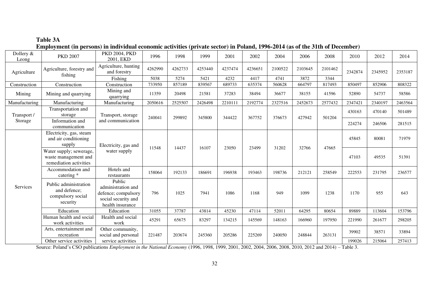|                                             | Employment (in persons) in individual economic activities (private sector) in Poland, 1996-2014 (as of the 31th of December) |                                                                                                |         |         |         |         |         |         |         |         |         |         |         |       |
|---------------------------------------------|------------------------------------------------------------------------------------------------------------------------------|------------------------------------------------------------------------------------------------|---------|---------|---------|---------|---------|---------|---------|---------|---------|---------|---------|-------|
| Dollery $&$<br>Leong                        | <b>PKD 2007</b>                                                                                                              | <b>PKD 2004, PKD</b><br>2001, EKD                                                              | 1996    | 1998    | 1999    | 2001    | 2002    | 2004    | 2006    | 2008    | 2010    | 2012    | 2014    |       |
| Agriculture                                 | Agriculture, forestry and<br>fishing                                                                                         | Agriculture, hunting<br>and forestry                                                           | 4262990 | 4262733 | 4253440 | 4237474 | 4236651 | 2100522 | 2103645 | 2101462 | 2342874 | 2345952 | 2353187 |       |
|                                             |                                                                                                                              | Fishing                                                                                        | 5038    | 5274    | 5421    | 4232    | 4417    | 4741    | 3872    | 3344    |         |         |         |       |
| Construction                                | Construction                                                                                                                 | Construction                                                                                   | 733950  | 857189  | 839567  | 689733  | 635374  | 560628  | 664797  | 817493  | 850497  | 852906  | 808322  |       |
| Mining                                      | Mining and quarrying                                                                                                         | Mining and<br>quarrying                                                                        | 11359   | 20498   | 21581   | 37283   | 38494   | 36677   | 38155   | 41596   | 52890   | 54737   | 58586   |       |
| Manufacturing                               | Manufacturing                                                                                                                | Manufacturing                                                                                  | 2050616 | 2525507 | 2426498 | 2210111 | 2192774 | 2327516 | 2452673 | 2577432 | 2347421 | 2340197 | 2463564 |       |
| Transport /                                 | Transportation and<br>storage                                                                                                | Transport, storage                                                                             |         |         |         |         |         |         |         |         | 430163  | 470140  | 501489  |       |
| Storage<br>Information and<br>communication | and communication                                                                                                            | 240041                                                                                         | 299892  | 345800  | 344422  | 367752  | 376673  | 427942  | 501204  | 224274  | 246506  | 281515  |         |       |
|                                             | Electricity, gas, steam<br>and air conditioning<br>supply                                                                    | Electricity, gas and<br>water supply                                                           |         | 11548   | 14437   | 16107   | 23050   | 23499   | 31202   | 32766   | 47665   | 45845   | 80081   | 71979 |
|                                             | Water supply; sewerage,<br>waste management and<br>remediation activities                                                    |                                                                                                |         |         |         |         |         |         |         |         | 47103   | 49535   | 51391   |       |
|                                             | Accommodation and<br>catering *                                                                                              | Hotels and<br>restaurants                                                                      | 158064  | 192133  | 186691  | 196938  | 193463  | 198736  | 212121  | 258549  | 222553  | 231795  | 236577  |       |
| Services                                    | Public administration<br>and defence;<br>compulsory social<br>security                                                       | Public<br>administration and<br>defence; compulsory<br>social security and<br>health insurance | 796     | 1025    | 7941    | 1086    | 1168    | 949     | 1099    | 1238    | 1170    | 955     | 643     |       |
|                                             | Education                                                                                                                    | Education                                                                                      | 31055   | 37787   | 43814   | 45230   | 47114   | 52011   | 64295   | 80654   | 89889   | 113604  | 153796  |       |
|                                             | Human health and social<br>work activities                                                                                   | Health and social<br>work                                                                      | 45291   | 65675   | 83297   | 134215  | 145569  | 148163  | 166960  | 197950  | 221990  | 261677  | 298205  |       |
|                                             | Arts, entertainment and<br>recreation                                                                                        | Other community,<br>social and personal                                                        | 221487  | 203674  | 245360  | 205286  | 225269  | 240050  | 248844  | 263131  | 39902   | 38571   | 33894   |       |
|                                             | Other service activities                                                                                                     | service activities                                                                             |         |         |         |         |         |         |         |         | 199026  | 215064  | 257413  |       |

**Table 3A Employment (in persons) in individual economic activities (private sector) in Poland, 1996-2014 (as of the 31th of December)** 

Source: Poland's CSO publications *Employment in the National Economy* (1996, 1998, 1999, 2001, 2002, 2004, 2006, 2008, 2010, 2012 and 2014) – Table 3.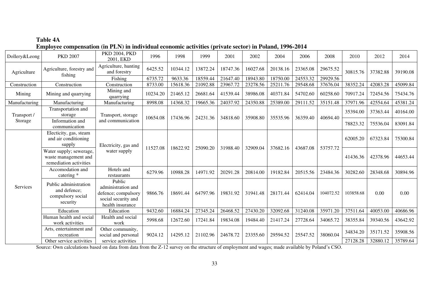|               | Employee compensation (in PLN) in individual economic activities (private sector) in Poland, 1996-2014 |                                                                                                |          |          |          |          |          |          |          |           |           |          |          |          |          |          |
|---------------|--------------------------------------------------------------------------------------------------------|------------------------------------------------------------------------------------------------|----------|----------|----------|----------|----------|----------|----------|-----------|-----------|----------|----------|----------|----------|----------|
| Dollery&Leong | <b>PKD 2007</b>                                                                                        | <b>PKD 2004, PKD</b><br>2001, EKD                                                              | 1996     | 1998     | 1999     | 2001     | 2002     | 2004     | 2006     | 2008      | 2010      | 2012     | 2014     |          |          |          |
| Agriculture   | Agriculture, forestry and<br>fishing                                                                   | Agriculture, hunting<br>and forestry                                                           | 6425.52  | 10344.12 | 13872.24 | 18747.36 | 16027.68 | 20138.16 | 23365.08 | 29675.52  | 30815.76  | 37382.88 | 39190.08 |          |          |          |
|               |                                                                                                        | Fishing                                                                                        | 6735.72  | 9633.36  | 18559.44 | 21647.40 | 18943.80 | 18750.00 | 24553.32 | 29929.56  |           |          |          |          |          |          |
| Construction  | Construction                                                                                           | Construction                                                                                   | 8733.00  | 15618.36 | 21092.88 | 23967.72 | 23278.56 | 25211.76 | 29548.68 | 37676.04  | 38352.24  | 42083.28 | 45099.84 |          |          |          |
| Mining        | Mining and quarrying                                                                                   | Mining and<br>quarrying                                                                        | 10234.20 | 21465.12 | 26681.64 | 41539.44 | 38986.08 | 40371.84 | 54702.60 | 60258.60  | 70917.24  | 72454.56 | 75434.76 |          |          |          |
| Manufacturing | Manufacturing                                                                                          | Manufacturing                                                                                  | 8998.08  | 14368.32 | 19665.36 | 24037.92 | 24350.88 | 25389.00 | 29111.52 | 35151.48  | 37971.96  | 42554.64 | 45381.24 |          |          |          |
| Transport /   | Transportation and<br>storage                                                                          | Transport, storage                                                                             |          |          |          |          |          |          |          |           | 35394.00  | 37363.44 | 40164.00 |          |          |          |
| Storage       | Information and<br>communication                                                                       | and communication                                                                              | 10654.08 | 17436.96 | 24231.36 | 34818.60 | 35908.80 | 35535.96 | 36359.40 | 40694.40  | 78823.32  | 75536.04 | 83091.84 |          |          |          |
|               | Electicity, gas, steam<br>and air conditioning<br>supply                                               | Electricity, gas and<br>water supply                                                           |          |          |          | 11527.08 | 18622.92 |          |          | 32909.04  | 37682.16  | 43687.08 | 53757.72 | 62005.20 | 67323.84 | 75300.84 |
|               | Water supply; sewerage,<br>waste management and<br>remediation activities                              |                                                                                                |          |          | 25090.20 | 31988.40 |          |          |          |           | 41436.36  | 42378.96 | 44653.44 |          |          |          |
|               | Accomodation and<br>catering *                                                                         | Hotels and<br>restaurants                                                                      | 6279.96  | 10988.28 | 14971.92 | 20291.28 | 20814.00 | 19182.84 | 20515.56 | 23484.36  | 30282.60  | 28348.68 | 30894.96 |          |          |          |
| Services      | Public administration<br>and defence;<br>compulsory social<br>security                                 | Public<br>administration and<br>defence; compulsory<br>social security and<br>health insurance | 9866.76  | 18691.44 | 64797.96 | 19831.92 | 31941.48 | 28171.44 | 62414.04 | 104072.52 | 103858.68 | 0.00     | 0.00     |          |          |          |
|               | Education                                                                                              | Education                                                                                      | 9432.60  | 16884.24 | 27345.24 | 26468.52 | 27430.20 | 32092.68 | 31240.08 | 35971.20  | 37511.64  | 40053.00 | 40686.96 |          |          |          |
|               | Human health and social<br>work activities                                                             | Health and social<br>work                                                                      | 5998.68  | 12672.60 | 17241.84 | 19834.08 | 19484.40 | 21417.24 | 27728.64 | 34065.72  | 38355.84  | 39340.56 | 43642.92 |          |          |          |
|               | Arts, entertainment and<br>recreation                                                                  | Other community,<br>social and personal                                                        | 9024.12  | 14295.12 | 21102.96 | 24678.72 | 23355.60 | 29594.52 | 25547.52 | 38060.04  | 34834.20  | 35171.52 | 35908.56 |          |          |          |
|               | Other service activities                                                                               | service activities                                                                             |          |          |          |          |          |          |          |           | 27128.28  | 32880.12 | 35789.64 |          |          |          |

# **Table 4A Employee compensation (in PLN) in individual economic activities (private sector) in Poland, 1996-2014**

Source: Own calculations based on data from data from the Z-12 survey on the structure of employment and wages; made available by Poland's CSO.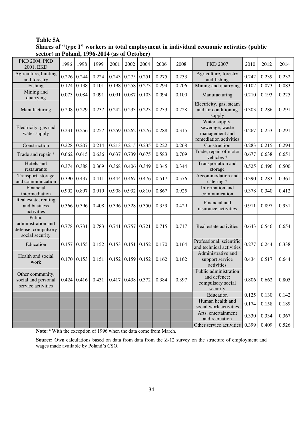## **Table 5A Shares of "type I" workers in total employment in individual economic activities (public sector) in Poland, 1996-2014 (as of October)**

| $300001$ ) in 1 biance, $1770-2017$ (as                                |       |                         |       |       |                               |       |       |       |                                                                              |       |       |       |
|------------------------------------------------------------------------|-------|-------------------------|-------|-------|-------------------------------|-------|-------|-------|------------------------------------------------------------------------------|-------|-------|-------|
| <b>PKD 2004, PKD</b><br>2001, EKD                                      | 1996  | 1998                    | 1999  | 2001  | 2002                          | 2004  | 2006  | 2008  | <b>PKD 2007</b>                                                              | 2010  | 2012  | 2014  |
| Agriculture, hunting<br>and forestry                                   |       | $0.226$ 0.244           | 0.224 | 0.243 | 0.275                         | 0.251 | 0.275 | 0.233 | Agriculture, forestry<br>and fishing                                         | 0.242 | 0.239 | 0.232 |
| Fishing                                                                | 0.124 | 0.138                   | 0.101 | 0.198 | 0.258                         | 0.273 | 0.294 | 0.206 | Mining and quarrying                                                         | 0.102 | 0.073 | 0.083 |
| Mining and<br>quarrying                                                | 0.073 | 0.084                   | 0.091 | 0.091 | 0.087                         | 0.103 | 0.094 | 0.100 | Manufacturing                                                                | 0.210 | 0.193 | 0.225 |
| Manufacturing                                                          |       | $0.208$ 0.229           | 0.237 |       | $0.242$   0.233   0.223       |       | 0.233 | 0.228 | Electricity, gas, steam<br>and air conditioning<br>supply                    | 0.303 | 0.286 | 0.291 |
| Electricity, gas nad<br>water supply                                   | 0.231 | 0.256                   | 0.257 |       | $0.259$ 0.262 0.276           |       | 0.288 | 0.315 | Water supply;<br>sewerage, waste<br>management and<br>remediation activities | 0.267 | 0.253 | 0.291 |
| Construction                                                           | 0.228 | 0.207                   | 0.214 |       | $0.213 \mid 0.215 \mid 0.235$ |       | 0.222 | 0.268 | Construction                                                                 | 0.283 | 0.215 | 0.294 |
| Trade and repair *                                                     | 0.662 | 0.615                   | 0.636 | 0.637 | 0.739                         | 0.675 | 0.583 | 0.709 | Trade, repair of motor<br>vehicles *                                         | 0.677 | 0.638 | 0.651 |
| Hotels and<br>restaurants                                              | 0.374 | 0.388                   | 0.369 | 0.368 | 0.406                         | 0.349 | 0.345 | 0.344 | Transportation and<br>storage                                                | 0.525 | 0.496 | 0.500 |
| Transport, storage<br>and communication                                |       | 0.390 0.437             | 0.411 | 0.444 | 0.467                         | 0.476 | 0.517 | 0.576 | Accommodation and<br>catering *                                              | 0.390 | 0.283 | 0.361 |
| Financial<br>intermediation                                            | 0.902 | 0.897                   | 0.919 |       | $0.908 \mid 0.932$            | 0.810 | 0.867 | 0.925 | Information and<br>communication                                             | 0.378 | 0.340 | 0.412 |
| Real estate, renting<br>and business<br>activities                     |       | 0.366 0.396             | 0.408 |       | 0.396 0.328                   | 0.350 | 0.359 | 0.429 | Financial and<br>insurance activities                                        | 0.911 | 0.897 | 0.931 |
| Public<br>administration and<br>defense; compulsory<br>social security |       | 0.778 0.731             | 0.783 |       | $0.741$ 0.757                 | 0.721 | 0.715 | 0.717 | Real estate activities                                                       | 0.643 | 0.546 | 0.654 |
| Education                                                              | 0.157 | 0.155                   | 0.152 | 0.153 | 0.151                         | 0.152 | 0.170 | 0.164 | Professional, scientific<br>and technical activities                         | 0.277 | 0.244 | 0.338 |
| Health and social<br>work                                              |       | $0.170$ 0.153           | 0.151 |       | $0.152$ 0.159 0.152           |       | 0.162 | 0.162 | Administrative and<br>support service<br>activities                          | 0.434 | 0.517 | 0.644 |
| Other community,<br>social and personal<br>service activities          |       | $0.424 \mid 0.416 \mid$ | 0.431 |       | $0.417$ 0.438 0.372           |       | 0.384 | 0.397 | Public administration<br>and defence;<br>compulsory social<br>security       | 0.806 | 0.662 | 0.805 |
|                                                                        |       |                         |       |       |                               |       |       |       | Education                                                                    | 0.125 | 0.130 | 0.142 |
|                                                                        |       |                         |       |       |                               |       |       |       | Human health and<br>social work activities                                   | 0.174 | 0.158 | 0.189 |
|                                                                        |       |                         |       |       |                               |       |       |       | Arts, entertainment<br>and recreation                                        | 0.330 | 0.334 | 0.367 |
|                                                                        |       |                         |       |       |                               |       |       |       | Other service activities                                                     | 0.399 | 0.409 | 0.526 |

Note: <sup>a</sup> With the exception of 1996 when the data come from March.

**Source:** Own calculations based on data from data from the Z-12 survey on the structure of employment and wages made available by Poland's CSO.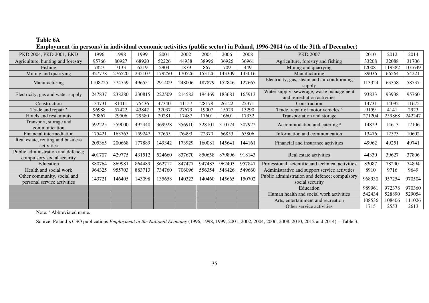#### **Table 6A**

**Employment (in persons) in individual economic activities (public sector) in Poland, 1996-2014 (as of the 31th of December)**  PKD 2004, PKD 2001, EKD 1996 1998 1999 2001 2002 2004 2006 2008 2008 PKD 2007 2010 2012 2014 Agriculture, hunting and forestry 35766 80927 68920 52226 44938 38996 36926 36961 Agriculture, forestry and fishing 33208 32088 31706<br>Fishing 120081 119382 101649 Fishing 120081 19327 7133 6219 2904 1879 867 709 449 Mining and quarrying 120081 119382 101649 Mining and quarrying 1327778 276520 235107 279250 276526 2763126 237126 143309 143016 Manufacturing 199036 89036 66564 54221 Manufacturing 1108225 574759 496551 291409 248006 187879 152846 127665 Electricity, gas, steam and air conditioning supply  $113324 \begin{bmatrix} 63358 \\ 58537 \end{bmatrix}$ Electricity, gas and water supply 247837 238280 230815 222509 214582 194469 183681 165913 Water supply; sewerage, waste management ppry, sewerage, wastermanagement 93833 93938 95760<br>and remediation activities Construction 134731 81411 75436 47340 41157 28178 26122 22371 Construction 14731 14092 11675 Trade and repair <sup>a</sup> 96988 57422 43842 32037 27679 19007 15529 13290 Trade, repair of motor vehicles <sup>a</sup> 9159 4141 2923 Hotels and restaurants 29867 29506 29580 20281 17487 17601 16601 17332 Transportation and storage 271204 259868 242247 Transport, storage and communication 592225 559000 492440 369928 356910 328101 310724 307922 Accommodation and catering <sup>a</sup> 14829 14613 12106 Financial intermediation 175421 163763 159247 77655 76493 72370 66853 65806 Information and communication 13476 12573 10602 Real estate, renting and business activities 205365 200668 177889 149342 173929 160081 145641 144161 Financial and insurance activities 49962 49251 49741 Public administration and defence; compulsory social security 401707 429775 431512 524660 837670 850658 879896 918143 Real estate activities 44330 39627 37806 Education 880764 869981 864489 862712 847477 947485 962403 957847 Professional, scientific and technical activities 83087 78290 74894<br>and social work 964325 955703 883713 734760 706096 556354 548426 549660 Administrative a Health and social work 964325 955703 883713 734760 706096 556354 548426 549660 Administrative and support service activities 8910 9716 9649 Other community, social and personal service activities 143721 146405 143098 135658 140323 140460 145665 150702 Public administration and defence; compulsory social security 968930 957254 970504 Education 989961 972378 970360 Human health and social work activities 542434 528890 529054 Arts, entertainment and recreation 108536 108406 111026 Other service activities 1715 2553 2613

Note: <sup>a</sup> Abbreviated name.

Source: Poland's CSO publications *Employment in the National Economy* (1996, 1998, 1999, 2001, 2002, 2004, 2006, 2008, 2010, 2012 and 2014) – Table 3.